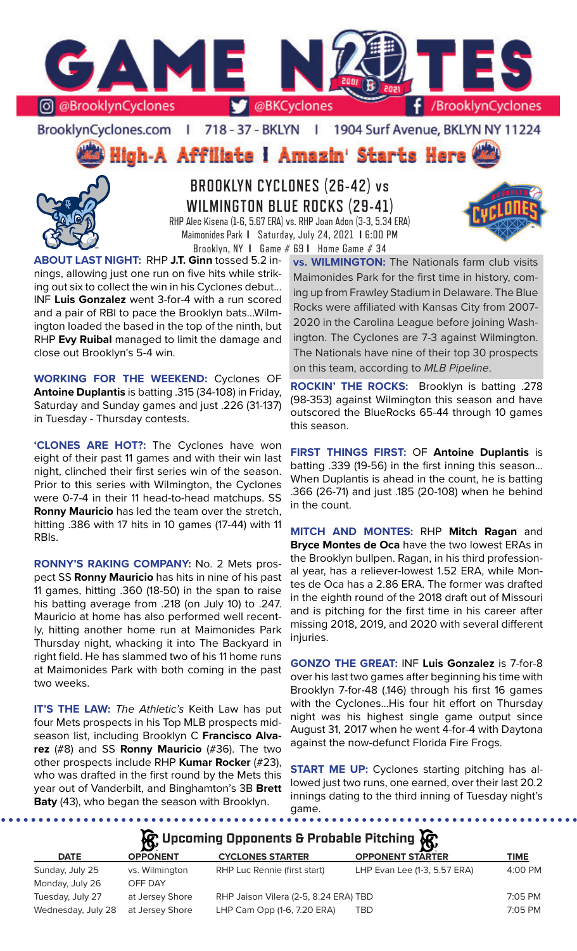

BrooklynCyclones.com | 718 - 37 - BKLYN | 1904 Surf Avenue, BKLYN NY 11224

High-A Affiliate i Amazin' Starts Here



**BROOKLYN CYCLONES (26-42) vs WILMINGTON BLUE ROCKS (29-41)** RHP Alec Kisena (1-6, 5.67 ERA) vs. RHP Joan Adon (3-3, 5.34 ERA) Maimonides Park **I** Saturday, July 24, 2021 **I** 6:00 PM



**WORKING FOR THE WEEKEND:** Cyclones OF **Antoine Duplantis** is batting .315 (34-108) in Friday, Saturday and Sunday games and just .226 (31-137) in Tuesday - Thursday contests.

**'CLONES ARE HOT?:** The Cyclones have won eight of their past 11 games and with their win last night, clinched their first series win of the season. Prior to this series with Wilmington, the Cyclones were 0-7-4 in their 11 head-to-head matchups. SS **Ronny Mauricio** has led the team over the stretch, hitting .386 with 17 hits in 10 games (17-44) with 11 RBIs.

**RONNY'S RAKING COMPANY:** No. 2 Mets prospect SS **Ronny Mauricio** has hits in nine of his past 11 games, hitting .360 (18-50) in the span to raise his batting average from .218 (on July 10) to .247. Mauricio at home has also performed well recently, hitting another home run at Maimonides Park Thursday night, whacking it into The Backyard in right field. He has slammed two of his 11 home runs at Maimonides Park with both coming in the past two weeks.

**IT'S THE LAW:** *The Athletic's* Keith Law has put four Mets prospects in his Top MLB prospects midseason list, including Brooklyn C **Francisco Alvarez** (#8) and SS **Ronny Mauricio** (#36). The two other prospects include RHP **Kumar Rocker** (#23), who was drafted in the first round by the Mets this year out of Vanderbilt, and Binghamton's 3B **Brett Baty** (43), who began the season with Brooklyn.

**vs. WILMINGTON:** The Nationals farm club visits Maimonides Park for the first time in history, coming up from Frawley Stadium in Delaware. The Blue Rocks were affiliated with Kansas City from 2007- 2020 in the Carolina League before joining Washington. The Cyclones are 7-3 against Wilmington. The Nationals have nine of their top 30 prospects on this team, according to *MLB Pipeline*.

**ROCKIN' THE ROCKS:** Brooklyn is batting .278 (98-353) against Wilmington this season and have outscored the BlueRocks 65-44 through 10 games this season.

**FIRST THINGS FIRST:** OF **Antoine Duplantis** is batting .339 (19-56) in the first inning this season... When Duplantis is ahead in the count, he is batting .366 (26-71) and just .185 (20-108) when he behind in the count.

**MITCH AND MONTES:** RHP **Mitch Ragan** and **Bryce Montes de Oca** have the two lowest ERAs in the Brooklyn bullpen. Ragan, in his third professional year, has a reliever-lowest 1.52 ERA, while Montes de Oca has a 2.86 ERA. The former was drafted in the eighth round of the 2018 draft out of Missouri and is pitching for the first time in his career after missing 2018, 2019, and 2020 with several different injuries.

**GONZO THE GREAT:** INF **Luis Gonzalez** is 7-for-8 over his last two games after beginning his time with Brooklyn 7-for-48 (.146) through his first 16 games with the Cyclones...His four hit effort on Thursday night was his highest single game output since August 31, 2017 when he went 4-for-4 with Daytona against the now-defunct Florida Fire Frogs.

**START ME UP:** Cyclones starting pitching has allowed just two runs, one earned, over their last 20.2 innings dating to the third inning of Tuesday night's game.

**A**: Upcoming Opponents & Probable Pitching **A** 

| <b>DATE</b>        | $\overline{\phantom{0}}$<br><b>OPPONENT</b> | <b>CYCLONES STARTER</b>               | <b>OPPONENT STARTER</b>      | TIME      |
|--------------------|---------------------------------------------|---------------------------------------|------------------------------|-----------|
| Sunday, July 25    | vs. Wilmington                              | RHP Luc Rennie (first start)          | LHP Evan Lee (1-3, 5.57 ERA) | 4:00 PM   |
| Monday, July 26    | OFF DAY                                     |                                       |                              |           |
| Tuesday, July 27   | at Jersey Shore                             | RHP Jaison Vilera (2-5, 8.24 ERA) TBD |                              | $7:05$ PM |
| Wednesday, July 28 | at Jersey Shore                             | LHP Cam Opp (1-6, 7.20 ERA)           | TBD                          | $7:05$ PM |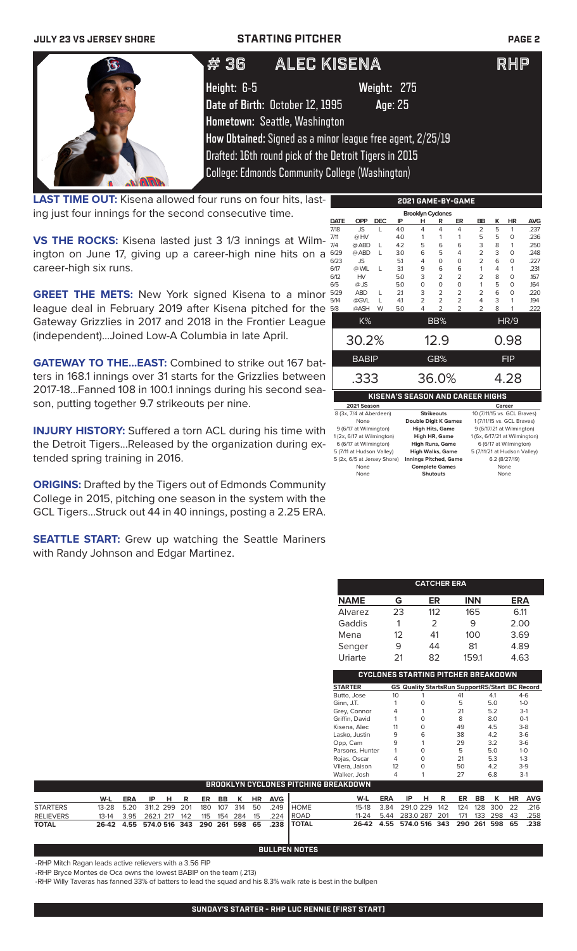## **JULY 23 VS JERSEY SHORE STARTING PITCHER PAGE 2**

| # 36        | ALEC KISENA                                            |                                                            | RHP |
|-------------|--------------------------------------------------------|------------------------------------------------------------|-----|
| Height: 6-5 |                                                        | Weight: 275                                                |     |
|             | Date of Birth: October 12, 1995                        | Age: 25                                                    |     |
|             | Hometown: Seattle, Washington                          |                                                            |     |
|             |                                                        | How Obtained: Signed as a minor league free agent, 2/25/19 |     |
|             | Drafted: 16th round pick of the Detroit Tigers in 2015 |                                                            |     |
|             | <b>College: Edmonds Community College (Washington)</b> |                                                            |     |

**LAST TIME OUT:** Kisena allowed four runs on four hits, lasting just four innings for the second consecutive time.

**VS THE ROCKS:** Kisena lasted just 3 1/3 innings at Wilmington on June 17, giving up a career-high nine hits on a career-high six runs.

**GREET THE METS:** New York signed Kisena to a minor league deal in February 2019 after Kisena pitched for the Gateway Grizzlies in 2017 and 2018 in the Frontier League (independent)...Joined Low-A Columbia in late April.

**GATEWAY TO THE...EAST:** Combined to strike out 167 batters in 168.1 innings over 31 starts for the Grizzlies between 2017-18...Fanned 108 in 100.1 innings during his second season, putting together 9.7 strikeouts per nine.

**INJURY HISTORY:** Suffered a torn ACL during his time with the Detroit Tigers...Released by the organization during extended spring training in 2016.

**ORIGINS:** Drafted by the Tigers out of Edmonds Community College in 2015, pitching one season in the system with the GCL Tigers...Struck out 44 in 40 innings, posting a 2.25 ERA.

**SEATTLE START:** Grew up watching the Seattle Mariners with Randy Johnson and Edgar Martinez.

|             | 2021 GAME-BY-GAME                                    |              |     |                                                |                   |                |                                         |   |                             |            |
|-------------|------------------------------------------------------|--------------|-----|------------------------------------------------|-------------------|----------------|-----------------------------------------|---|-----------------------------|------------|
|             |                                                      |              |     | <b>Brooklyn Cyclones</b>                       |                   |                |                                         |   |                             |            |
| <b>DATE</b> | <b>OPP</b>                                           | <b>DEC</b>   | IP  | н                                              | R                 | ER             | <b>BB</b>                               | K | <b>HR</b>                   | <b>AVG</b> |
| 7/18        | <b>JS</b>                                            | L            | 4.0 | 4                                              | 4                 | 4              | $\overline{2}$                          | 5 | 1                           | .237       |
| 7/11        | @HV                                                  |              | 4.0 | 1                                              | 1                 | 1              | 5                                       | 5 | 0                           | .236       |
| 7/4         | @ ABD                                                | L            | 4.2 | 5                                              | 6                 | 6              | 3                                       | 8 | 1                           | .250       |
| 6/29        | @ ABD                                                | L            | 3.0 | 6                                              | 5                 | 4              | $\overline{2}$                          | 3 | 0                           | .248       |
| 6/23        | <b>JS</b>                                            |              | 5.1 | 4                                              | 0                 | O              | $\overline{2}$                          | 6 | 0                           | .227       |
| 6/17        | @ WIL                                                | $\mathbf{L}$ | 3.1 | 9                                              | 6                 | 6              | 1                                       | 4 | 1                           | .231       |
| 6/12        | HV                                                   |              | 5.0 | 3                                              | 2                 | 2              | 2                                       | 8 | 0                           | 167        |
| 6/5         | $@$ JS                                               |              | 5.0 | 0                                              | 0                 | O              | 1                                       | 5 | 0                           | .164       |
| 5/29        | <b>ABD</b>                                           | L            | 2.1 | 3                                              | 2                 | 2              | 2                                       | 6 | 0                           | .220       |
| 5/14        | @GVL                                                 | L            | 4.1 | $\overline{2}$                                 | $\overline{2}$    | $\overline{2}$ | 4                                       | 3 | 1                           | .194       |
| 5/8         | @ASH                                                 | W            | 5.0 | 4                                              | $\overline{2}$    | $\overline{2}$ | $\overline{2}$                          | 8 | 1                           | .222       |
|             | K%                                                   |              |     |                                                | BB%               |                |                                         |   | HR/9                        |            |
|             | 30.2%                                                |              |     |                                                | 12.9              |                |                                         |   | 0.98                        |            |
|             | <b>BABIP</b>                                         |              |     |                                                | GB%               |                |                                         |   | <b>FIP</b>                  |            |
|             | .333                                                 |              |     |                                                | 36.0%             |                |                                         |   | 4.28                        |            |
|             |                                                      |              |     |                                                |                   |                | <b>KISENA'S SEASON AND CAREER HIGHS</b> |   |                             |            |
|             | 2021 Season                                          |              |     |                                                |                   |                |                                         |   | Career                      |            |
|             | 8 (3x, 7/4 at Aberdeen)                              |              |     |                                                | <b>Strikeouts</b> |                |                                         |   | 10 (7/11/15 vs. GCL Braves) |            |
|             | None                                                 |              |     | <b>Double Digit K Games</b>                    |                   |                |                                         |   | 1 (7/11/15 vs. GCL Braves)  |            |
|             | 9 (6/17 at Wilmington)                               |              |     | <b>High Hits, Game</b>                         |                   |                |                                         |   | 9 (6/17/21 at Wilmington)   |            |
|             | 1 (2x, 6/17 at Wilmington)<br>6 (6/17 at Wilmington) |              |     | <b>High HR, Game</b><br><b>High Runs, Game</b> |                   |                | 1 (6x, 6/17/21 at Wilmington)           |   | 6 (6/17 at Wilmington)      |            |
|             | 5 (7/11 at Hudson Valley)                            |              |     | High Walks, Game                               |                   |                | 5 (7/11/21 at Hudson Valley)            |   |                             |            |
|             |                                                      |              |     |                                                |                   |                |                                         |   |                             |            |

5 (7/11 at Hudson Valley) **High Walks, Game** 5 (7/11/21 at Hudson Valley) 5 (2x, 6/5 at Jersey Shore) **Innings Pitched, Game** 6.2 (8/27/19) None **Complete Games** None None **Shutouts** None

|                 |    | <b>CATCHER ERA</b>                                    |            |     |         |  |
|-----------------|----|-------------------------------------------------------|------------|-----|---------|--|
|                 |    |                                                       |            |     |         |  |
| <b>NAME</b>     | G  | ER                                                    | <b>INN</b> |     | ERA     |  |
| Alvarez         | 23 | 112                                                   | 165        |     | 6.11    |  |
| Gaddis          | 1  | 2                                                     | 9          |     | 2.00    |  |
| Mena            | 12 | 41                                                    | 100        |     | 3.69    |  |
| Senger          | 9  | 44                                                    | 81         |     | 4.89    |  |
| Uriarte         | 21 | 82                                                    | 159.1      |     | 4.63    |  |
|                 |    |                                                       |            |     |         |  |
|                 |    | <b>CYCLONES STARTING PITCHER BREAKDOWN</b>            |            |     |         |  |
| <b>STARTER</b>  |    | <b>GS Quality StartsRun SupportRS/Start BC Record</b> |            |     |         |  |
| Butto, Jose     | 10 | 1                                                     | 41         | 4.1 | $4-6$   |  |
| Ginn, J.T.      | 1  | 0                                                     | 5          | 5.0 | $1-0$   |  |
| Grey, Connor    | 4  | 1                                                     | 21         | 5.2 | $3-1$   |  |
| Griffin, David  | 1  | 0                                                     | 8          | 8.0 | $O-1$   |  |
| Kisena, Alec    | 11 | 0                                                     | 49         | 4.5 | $3 - 8$ |  |
| Lasko, Justin   | 9  | 6                                                     | 38         | 4.2 | $3-6$   |  |
| Opp, Cam        | 9  | 1                                                     | 29         | 3.2 | $3-6$   |  |
| Parsons, Hunter | 1  | 0                                                     | 5          | 5.0 | $1 - 0$ |  |
| Rojas, Oscar    | 4  | 0                                                     | 21         | 5.3 | $1 - 3$ |  |
| Vilera, Jaison  | 12 | 0                                                     | 50         | 4.2 | $3-9$   |  |
| Walker, Josh    | 4  | 1                                                     | 27         | 6.8 | $3-1$   |  |

|                  |                                         |     |      |  |  |  |                  | Walker, Josh                                         |                                              |     |                                   |  |     | 6.8        | $3-1$          |
|------------------|-----------------------------------------|-----|------|--|--|--|------------------|------------------------------------------------------|----------------------------------------------|-----|-----------------------------------|--|-----|------------|----------------|
|                  |                                         |     |      |  |  |  |                  | <b>BROOKLYN CYCLONES PITCHING BREAKDOWN</b>          |                                              |     |                                   |  |     |            |                |
|                  | W-L                                     | ERA | IPHR |  |  |  | ER BB K HR AVG I |                                                      | W-L                                          | ERA | IPHR                              |  |     |            | ER BB K HR AVG |
| <b>STARTERS</b>  | 13-28 5.20 311.2 299 201 180 107 314 50 |     |      |  |  |  | .249             | <b>I</b> HOME                                        | 15-18 3.84                                   |     | 291.0 229 142 124 128 300 22 .216 |  |     |            |                |
| <b>RELIEVERS</b> |                                         |     |      |  |  |  |                  | 13-14 3.95 262.1 217 142 115 154 284 15 .224 ROAD    | 11-24 5.44 283.0 287 201                     |     |                                   |  | 171 | 133 298 43 | .258           |
| <b>TOTAL</b>     |                                         |     |      |  |  |  |                  | 26-42 4.55 574.0 516 343 290 261 598 65 .238   TOTAL | 26-42 4.55 574.0 516 343 290 261 598 65 .238 |     |                                   |  |     |            |                |

### **BULLPEN NOTES**

-RHP Mitch Ragan leads active relievers with a 3.56 FIP

-RHP Bryce Montes de Oca owns the lowest BABIP on the team (.213)

-RHP Willy Taveras has fanned 33% of batters to lead the squad and his 8.3% walk rate is best in the bullpen

**SUNDAY'S STARTER - RHP LUC RENNIE (FIRST START)**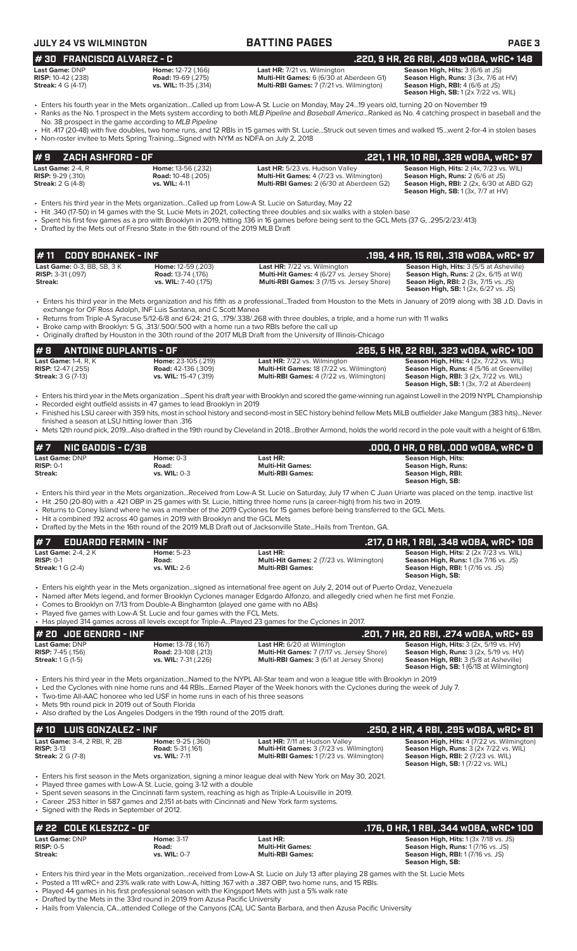| JULY 24 VS WILMINGTON                                                                                                                                            |                                                                          | <b>BATTING PAGES</b>                                                                                                                                                                                                                                                                                | <b>PAGE 3</b>                                                                                                                                              |
|------------------------------------------------------------------------------------------------------------------------------------------------------------------|--------------------------------------------------------------------------|-----------------------------------------------------------------------------------------------------------------------------------------------------------------------------------------------------------------------------------------------------------------------------------------------------|------------------------------------------------------------------------------------------------------------------------------------------------------------|
| #30 FRANCISCO ALVAREZ - C                                                                                                                                        |                                                                          |                                                                                                                                                                                                                                                                                                     | .220, 9 HR, 26 RBI, .409 w0BA, wRC+ 148                                                                                                                    |
| Last Game: DNP<br>RISP: 10-42 (.238)<br><b>Streak:</b> 4 G (4-17)                                                                                                | Home: 12-72 (.166)<br><b>Road: 19-69 (.275)</b><br>vs. WIL: 11-35 (.314) | Last HR: 7/21 vs. Wilmington<br>Multi-Hit Games: 6 (6/30 at Aberdeen G1)<br>Multi-RBI Games: 7 (7/21 vs. Wilmington)                                                                                                                                                                                | Season High, Hits: 3 (6/6 at JS)<br>Season High, Runs: 3 (3x, 7/6 at HV)<br>Season High, RBI: 4 (6/6 at JS)<br><b>Season High, SB:</b> 1 (2x 7/22 vs. WIL) |
| No. 38 prospect in the game according to MLB Pipeline                                                                                                            |                                                                          | Fiters his fourth year in the Mets organizationCalled up from Low-A St. Lucie on Monday, May 2419 years old, turning 20 on November 19<br>• Ranks as the No. 1 prospect in the Mets system according to both MLB Pipeline and Baseball AmericaRanked as No. 4 catching prospect in baseball and the |                                                                                                                                                            |
| • Non-roster invitee to Mets Spring Training Signed with NYM as NDFA on July 2, 2018                                                                             |                                                                          | • Hit .417 (20-48) with five doubles, two home runs, and 12 RBIs in 15 games with St. LucieStruck out seven times and walked 15went 2-for-4 in stolen bases                                                                                                                                         |                                                                                                                                                            |
| ZACH ASHFORD - OF<br>#9                                                                                                                                          |                                                                          |                                                                                                                                                                                                                                                                                                     | .221, 1 HR, 10 RBI, .328 w0BA, wRC+ 97                                                                                                                     |
| Last Game: $2-4. R$                                                                                                                                              | Home: 13-56 (.232)                                                       | Last HR: 5/23 vs. Hudson Valley                                                                                                                                                                                                                                                                     | Season High, Hits: 2 (4x, 7/23 vs. WIL)                                                                                                                    |
| <b>RISP: 9-29 (.310)</b><br><b>Streak: 2 G (4-8)</b>                                                                                                             | <b>Road: 10-48 (.205)</b><br>vs. WIL: 4-11                               | Multi-Hit Games: 4 (7/23 vs. Wilmington)<br>Multi-RBI Games: 2 (6/30 at Aberdeen G2)                                                                                                                                                                                                                | Season High, Runs: 2 (6/6 at JS)<br><b>Season High, RBI:</b> 2 (2x, 6/30 at ABD G2)<br><b>Season High, SB: 1 (3x, 7/7 at HV)</b>                           |
|                                                                                                                                                                  |                                                                          | Enters his third year in the Mets organizationCalled up from Low-A St. Lucie on Saturday, May 22                                                                                                                                                                                                    |                                                                                                                                                            |
|                                                                                                                                                                  |                                                                          | • Hit .340 (17-50) in 14 games with the St. Lucie Mets in 2021, collecting three doubles and six walks with a stolen base<br>• Spent his first few games as a pro with Brooklyn in 2019, hitting 136 in 16 games before being sent to the GCL Mets (37 G, .295/2/23/.413)                           |                                                                                                                                                            |
| • Drafted by the Mets out of Fresno State in the 6th round of the 2019 MLB Draft                                                                                 |                                                                          |                                                                                                                                                                                                                                                                                                     |                                                                                                                                                            |
|                                                                                                                                                                  |                                                                          |                                                                                                                                                                                                                                                                                                     |                                                                                                                                                            |
| #11<br><b>CODY BOHANEK - INF</b>                                                                                                                                 |                                                                          |                                                                                                                                                                                                                                                                                                     | .199, 4 HR, 15 RBI, .318 wOBA, wRC+ 97                                                                                                                     |
| Last Game: 0-3, BB, SB, 3 K                                                                                                                                      | Home: 12-59 (.203)                                                       | Last HR: 7/22 vs. Wilmington                                                                                                                                                                                                                                                                        | Season High, Hits: 3 (5/5 at Asheville)                                                                                                                    |
| RISP: 3-31 (.097)<br>Streak:                                                                                                                                     | <b>Road: 13-74 (.176)</b><br>vs. WIL: 7-40 (.175)                        | Multi-Hit Games: 4 (6/27 vs. Jersey Shore)<br>Multi-RBI Games: 3 (7/15 vs. Jersey Shore)                                                                                                                                                                                                            | Season High, Runs: 2 (2x, 6/15 at Wil)<br><b>Seaon High, RBI:</b> 2 (3x, 7/15 vs. JS)<br><b>Season High, SB:</b> 1 (2x, 6/27 vs. JS)                       |
|                                                                                                                                                                  |                                                                          | • Enters his third year in the Mets organization and his fifth as a professionalTraded from Houston to the Mets in January of 2019 along with 3B J.D. Davis in                                                                                                                                      |                                                                                                                                                            |
|                                                                                                                                                                  | exchange for OF Ross Adolph, INF Luis Santana, and C Scott Manea         | • Returns from Triple-A Syracuse 5/12-6/8 and 6/24: 21 G, 179/.338/.268 with three doubles, a triple, and a home run with 11 walks                                                                                                                                                                  |                                                                                                                                                            |
|                                                                                                                                                                  |                                                                          | • Broke camp with Brooklyn: 5 G, .313/.500/.500 with a home run a two RBIs before the call up<br>• Originally drafted by Houston in the 30th round of the 2017 MLB Draft from the University of Illinois-Chicago                                                                                    |                                                                                                                                                            |
| #B<br><b>ANTOINE DUPLANTIS - OF</b>                                                                                                                              |                                                                          |                                                                                                                                                                                                                                                                                                     | .265, 5 HR, 22 RBI, .323 wOBA, wRC+ 100                                                                                                                    |
| <b>Last Game: 1-4, R, K</b>                                                                                                                                      | Home: 23-105 (.219)                                                      | Last HR: 7/22 vs. Wilmington                                                                                                                                                                                                                                                                        | Season High, Hits: 4 (2x, 7/22 vs. WIL)                                                                                                                    |
| <b>RISP:</b> 12-47 (.255)<br><b>Streak:</b> 3 G (7-13)                                                                                                           | <b>Road:</b> 42-136 (.309)<br>vs. WIL: 15-47 (.319)                      | Multi-Hit Games: 18 (7/22 vs. Wilmington)<br>Multi-RBI Games: 4 (7/22 vs. Wilmington)                                                                                                                                                                                                               | Season High, Runs: 4 (5/16 at Greenville)<br><b>Season High, RBI: 3 (2x, 7/22 vs. WIL)</b><br>Season High, SB: 1 (3x, 7/2 at Aberdeen)                     |
|                                                                                                                                                                  |                                                                          | • Enters his third year in the Mets organization Spent his draft year with Brooklyn and scored the game-winning run against Lowell in the 2019 NYPL Championship                                                                                                                                    |                                                                                                                                                            |
| • Recorded eight outfield assists in 47 games to lead Brooklyn in 2019<br>finished a season at LSU hitting lower than .316                                       |                                                                          | • Finished his LSU career with 359 hits, most in school history and second-most in SEC history behind fellow Mets MiLB outfielder Jake Mangum (383 hits)Never                                                                                                                                       |                                                                                                                                                            |
|                                                                                                                                                                  |                                                                          | • Mets 12th round pick, 2019Also drafted in the 19th round by Cleveland in 2018Brother Armond, holds the world record in the pole vault with a height of 6.18m.                                                                                                                                     |                                                                                                                                                            |
| <b>NIC GADDIS - C/3B</b><br>#7                                                                                                                                   |                                                                          |                                                                                                                                                                                                                                                                                                     | .000, 0 HR, 0 RBI, .000 WOBA, WRC+ 0                                                                                                                       |
| Last Game: DNP                                                                                                                                                   | <b>Home: 0-3</b>                                                         | Last HR:                                                                                                                                                                                                                                                                                            | <b>Season High, Hits:</b>                                                                                                                                  |
| <b>RISP: 0-1</b><br>Streak:                                                                                                                                      | Road:<br>vs. WIL: 0-3                                                    | <b>Multi-Hit Games:</b><br><b>Multi-RBI Games:</b>                                                                                                                                                                                                                                                  | <b>Season High, Runs:</b>                                                                                                                                  |
|                                                                                                                                                                  |                                                                          |                                                                                                                                                                                                                                                                                                     | Season High, RBI:<br>Season High, SB:                                                                                                                      |
|                                                                                                                                                                  |                                                                          | • Enters his third year in the Mets organizationReceived from Low-A St. Lucie on Saturday, July 17 when C Juan Uriarte was placed on the temp. inactive list                                                                                                                                        |                                                                                                                                                            |
|                                                                                                                                                                  |                                                                          | . Hit .250 (20-80) with a .421 OBP in 25 games with St. Lucie, hitting three home runs (a career-high) from his two in 2019.                                                                                                                                                                        |                                                                                                                                                            |
| • Hit a combined .192 across 40 games in 2019 with Brooklyn and the GCL Mets                                                                                     |                                                                          | • Returns to Coney Island where he was a member of the 2019 Cyclones for 15 games before being transferred to the GCL Mets.                                                                                                                                                                         |                                                                                                                                                            |
|                                                                                                                                                                  |                                                                          | • Drafted by the Mets in the 16th round of the 2019 MLB Draft out of Jacksonville StateHails from Trenton, GA.                                                                                                                                                                                      |                                                                                                                                                            |
| <b>EDUARDO FERMIN - INF</b><br>#7                                                                                                                                |                                                                          |                                                                                                                                                                                                                                                                                                     | .217, 0 HR, 1 RBI, .348 wOBA, wRC+ 108                                                                                                                     |
| <b>Last Game: 2-4, 2 K</b>                                                                                                                                       | <b>Home: 5-23</b>                                                        | Last HR:                                                                                                                                                                                                                                                                                            | Season High, Hits: 2 (2x 7/23 vs. WIL)                                                                                                                     |
| <b>RISP: 0-1</b><br><b>Streak:</b> 1 G (2-4)                                                                                                                     | Road:<br><b>vs. WIL:</b> 2-6                                             | Multi-Hit Games: 2 (7/23 vs. Wilmington)<br><b>Multi-RBI Games:</b>                                                                                                                                                                                                                                 | <b>Season High, Runs: 1 (3x 7/16 vs. JS)</b><br><b>Season High, RBI:</b> 1 (7/16 vs. JS)<br>Season High, SB:                                               |
|                                                                                                                                                                  |                                                                          | • Enters his eighth year in the Mets organizationsigned as international free agent on July 2, 2014 out of Puerto Ordaz, Venezuela                                                                                                                                                                  |                                                                                                                                                            |
|                                                                                                                                                                  |                                                                          | • Named after Mets legend, and former Brooklyn Cyclones manager Edgardo Alfonzo, and allegedly cried when he first met Fonzie.                                                                                                                                                                      |                                                                                                                                                            |
| • Comes to Brooklyn on 7/13 from Double-A Binghamton (played one game with no ABs)<br>• Played five games with Low-A St. Lucie and four games with the FCL Mets. |                                                                          |                                                                                                                                                                                                                                                                                                     |                                                                                                                                                            |
|                                                                                                                                                                  |                                                                          | • Has played 314 games across all levels except for Triple-APlayed 23 games for the Cyclones in 2017.                                                                                                                                                                                               |                                                                                                                                                            |
| $H$ 20 IOF CENODD - INF                                                                                                                                          |                                                                          |                                                                                                                                                                                                                                                                                                     | 201 ביום, הם היה הכל הם הכ הם ל 101                                                                                                                        |

| 1# 20  JOE GENORD - INF    |                             |                                                   | .201, 7 HR, 20 RBI, .274 wOBA, wRC+ 69                   |
|----------------------------|-----------------------------|---------------------------------------------------|----------------------------------------------------------|
| <b>Last Game: DNP</b>      | <b>Home: 13-78 (.167)</b>   | <b>Last HR:</b> 6/20 at Wilmington                | <b>Season High, Hits:</b> $3$ ( $2x$ , $5/19$ vs. $HV$ ) |
| <b>RISP:</b> $7-45$ (.156) | <b>Road:</b> 23-108 (.213)  | <b>Multi-Hit Games: 7 (7/17 vs. Jersey Shore)</b> | <b>Season High, Runs:</b> $3$ ( $2x$ , $5/19$ vs. $HV$ ) |
| <b>Streak:</b> 1 G (1-5)   | <b>vs. WIL:</b> 7-31 (.226) | <b>Multi-RBI Games:</b> 3 (6/1 at Jersey Shore)   | <b>Season High, RBI:</b> 3 (5/8 at Asheville)            |
|                            |                             |                                                   | <b>Season High, SB:</b> 1 (6/18 at Wilmington)           |

• Enters his third year in the Mets organization...Named to the NYPL All-Star team and won a league title with Brooklyn in 2019

• Led the Cyclones with nine home runs and 44 RBIs...Earned Player of the Week honors with the Cyclones during the week of July 7.

• Two-time All-AAC honoree who led USF in home runs in each of his three seasons

• Mets 9th round pick in 2019 out of South Florida

• Also drafted by the Los Angeles Dodgers in the 19th round of the 2015 draft.

| $#10$ LUIS GONZALEZ - INF           |                          |                                                 | .250, 2 HR, 4 RBI, .295 wOBA, wRC+ 81             |
|-------------------------------------|--------------------------|-------------------------------------------------|---------------------------------------------------|
| <b>Last Game: 3-4, 2 RBI, R, 2B</b> | <b>Home: 9-25 (.360)</b> | <b>Last HR:</b> 7/11 at Hudson Valley           | <b>Season High, Hits: 4 (7/22 vs. Wilmington)</b> |
| $RISP: 3-13$                        | <b>Road:</b> 5-31 (.161) | <b>Multi-Hit Games: 3 (7/23 vs. Wilmington)</b> | <b>Season High, Runs:</b> 3 (2x 7/22 vs. WIL)     |
| <b>Streak:</b> 2 G (7-8)            | <b>vs. WIL:</b> 7-11     | <b>Multi-RBI Games: 1(7/23 vs. Wilmington)</b>  | <b>Season High, RBI:</b> 2 (7/23 vs. WIL)         |
|                                     |                          |                                                 | <b>Season High, SB: 1 (7/22 vs. WIL)</b>          |

• Enters his first season in the Mets organization, signing a minor league deal with New York on May 30, 2021.

• Played three games with Low-A St. Lucie, going 3-12 with a double

• Spent seven seasons in the Cincinnati farm system, reaching as high as Triple-A Louisville in 2019.

• Career .253 hitter in 587 games and 2,151 at-bats with Cincinnati and New York farm systems. • Signed with the Reds in September of 2012.

| $\#$ 22 $\,$ COLE KLESZCZ - OF       |                            |                                     | . .176, 0 HR, 1 RBI, .344 w0BA, wRC+ 100                                                  |
|--------------------------------------|----------------------------|-------------------------------------|-------------------------------------------------------------------------------------------|
| <b>Last Game: DNP</b><br>$RISP: 0-5$ | <b>Home: 3-17</b><br>Road: | Last HR:<br><b>Multi-Hit Games:</b> | <b>Season High, Hits: 1 (3x 7/18 vs. JS)</b><br><b>Season High, Runs: 1 (7/16 vs. JS)</b> |
| Streak:                              | vs. WIL: 0-7               | <b>Multi-RBI Games:</b>             | <b>Season High, RBI:</b> 1 (7/16 vs. JS)<br>Season High, SB:                              |

• Enters his third year in the Mets organization...received from Low-A St. Lucie on July 13 after playing 28 games with the St. Lucie Mets

• Posted a 111 wRC+ and 23% walk rate with Low-A, hitting .167 with a .387 OBP, two home runs, and 15 RBIs.

• Played 44 games in his first professional season with the Kingsport Mets with just a 5% walk rate • Drafted by the Mets in the 33rd round in 2019 from Azusa Pacific University

• Hails from Valencia, CA...attended College of the Canyons (CA), UC Santa Barbara, and then Azusa Pacific University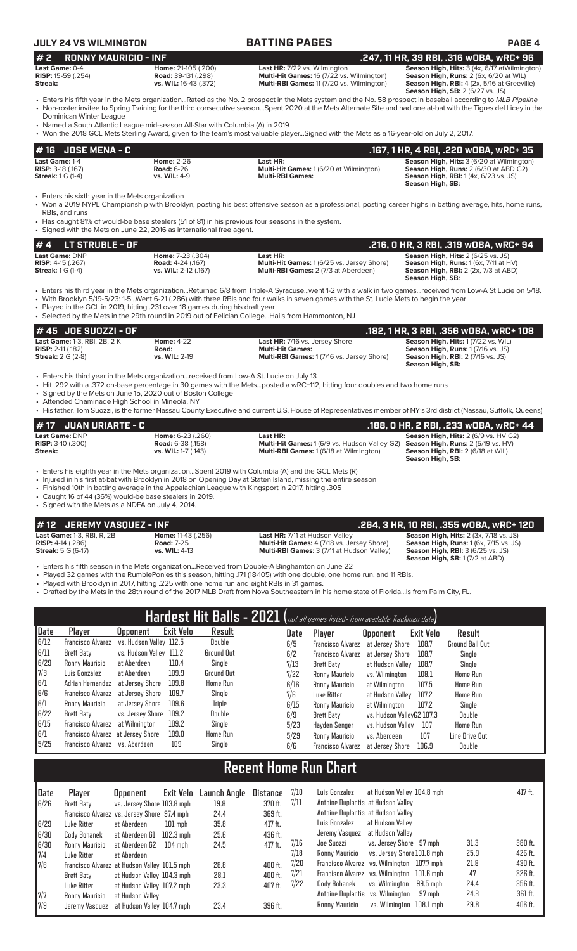# **JULY 24 VS WILMINGTON BATTING PAGES PAGE 4**

| <b>RONNY MAURICIO - INF</b><br>#2                                                   |                                                                                                                                                                           |                                                                                                                                                                                                                                                                                                                                                                                                         | .247, 11 HR, 39 RBI, .316 WOBA, WRC+ 96                                                                                                                                    |
|-------------------------------------------------------------------------------------|---------------------------------------------------------------------------------------------------------------------------------------------------------------------------|---------------------------------------------------------------------------------------------------------------------------------------------------------------------------------------------------------------------------------------------------------------------------------------------------------------------------------------------------------------------------------------------------------|----------------------------------------------------------------------------------------------------------------------------------------------------------------------------|
| Last Game: 0-4<br>RISP: 15-59 (.254)<br>Streak:                                     | Home: 21-105 (.200)<br><b>Road: 39-131 (.298)</b><br>vs. WIL: 16-43 (.372)                                                                                                | Last HR: 7/22 vs. Wilmington<br>Multi-Hit Games: 16 (7/22 vs. Wilmington)<br>Multi-RBI Games: 11 (7/20 vs. Wilmington)                                                                                                                                                                                                                                                                                  | Season High, Hits: 3 (4x, 6/17 at Wilmington)<br>Season High, Runs: 2 (6x, 6/20 at WIL)<br>Season High, RBI: 4 (2x, 5/16 at Greeville)<br>Season High, SB: 2 (6/27 vs. JS) |
| Dominican Winter League                                                             | • Named a South Atlantic League mid-season All-Star with Columbia (A) in 2019                                                                                             | • Enters his fifth year in the Mets organizationRated as the No. 2 prospect in the Mets system and the No. 58 prospect in baseball according to MLB Pipeline<br>• Non-roster invitee to Spring Training for the third consecutive seasonSpent 2020 at the Mets Alternate Site and had one at-bat with the Tigres del Licey in the                                                                       |                                                                                                                                                                            |
| <b>JOSE MENA - C</b><br># 16                                                        |                                                                                                                                                                           | • Won the 2018 GCL Mets Sterling Award, given to the team's most valuable playerSigned with the Mets as a 16-year-old on July 2, 2017.                                                                                                                                                                                                                                                                  | .167, 1 HR, 4 RBI, .220 wOBA, wRC+ 35                                                                                                                                      |
| Last Game: 1-4<br>RISP: 3-18 (.167)<br><b>Streak: 1 G (1-4)</b>                     | <b>Home: 2-26</b><br><b>Road: 6-26</b><br>vs. WIL: 4-9                                                                                                                    | Last HR:<br>Multi-Hit Games: 1 (6/20 at Wilmington)<br><b>Multi-RBI Games:</b>                                                                                                                                                                                                                                                                                                                          | Season High, Hits: 3 (6/20 at Wilmington)<br>Season High, Runs: 2 (6/30 at ABD G2)<br>Season High, RBI: 1 (4x, 6/23 vs. JS)<br>Season High, SB:                            |
| • Enters his sixth year in the Mets organization<br>RBIs, and runs                  | • Has caught 81% of would-be base stealers (51 of 81) in his previous four seasons in the system.<br>• Signed with the Mets on June 22, 2016 as international free agent. | • Won a 2019 NYPL Championship with Brooklyn, posting his best offensive season as a professional, posting career highs in batting average, hits, home runs,                                                                                                                                                                                                                                            |                                                                                                                                                                            |
| LT STRUBLE - OF<br>#4                                                               |                                                                                                                                                                           |                                                                                                                                                                                                                                                                                                                                                                                                         | .216, 0 HR, 3 RBI, .319 wOBA, wRC+ 94                                                                                                                                      |
| Last Game: DNP<br>RISP: 4-15 (.267)<br><b>Streak: 1 G (1-4)</b>                     | Home: 7-23 (.304)<br><b>Road: 4-24 (.167)</b><br>vs. WIL: 2-12 (.167)                                                                                                     | Last HR:<br>Multi-Hit Games: 1 (6/25 vs. Jersey Shore)<br>Multi-RBI Games: 2 (7/3 at Aberdeen)                                                                                                                                                                                                                                                                                                          | Season High, Hits: 2 (6/25 vs. JS)<br>Season High, Runs: 1 (6x, 7/11 at HV)<br><b>Season High, RBI: 2 (2x, 7/3 at ABD)</b><br>Season High, SB:                             |
|                                                                                     | . Played in the GCL in 2019, hitting .231 over 18 games during his draft year                                                                                             | • Enters his third year in the Mets organizationReturned 6/8 from Triple-A Syracusewent 1-2 with a walk in two gamesreceived from Low-A St Lucie on 5/18.<br>• With Brooklyn 5/19-5/23: 1-5Went 6-21 (.286) with three RBIs and four walks in seven games with the St. Lucie Mets to begin the year<br>• Selected by the Mets in the 29th round in 2019 out of Felician CollegeHails from Hammonton, NJ |                                                                                                                                                                            |
| #45 JOE SUOZZI - OF                                                                 |                                                                                                                                                                           |                                                                                                                                                                                                                                                                                                                                                                                                         | .182, 1 HR, 3 RBI, .356 WOBA, WRC+ 108                                                                                                                                     |
| Last Game: 1-3, RBI, 2B, 2K<br><b>RISP: 2-11 (.182)</b><br><b>Streak: 2 G (2-8)</b> | <b>Home: 4-22</b><br>Road:<br>vs. WIL: 2-19                                                                                                                               | Last HR: 7/16 vs. Jersey Shore<br><b>Multi-Hit Games:</b><br>Multi-RBI Games: 1 (7/16 vs. Jersey Shore)                                                                                                                                                                                                                                                                                                 | Season High, Hits: 1 (7/22 vs. WIL)<br>Season High, Runs: 1 (7/16 vs. JS)<br>Season High, RBI: 2 (7/16 vs. JS)<br>Season High, SB:                                         |
| • Attended Chaminade High School in Mineola, NY                                     | • Enters his third year in the Mets organizationreceived from Low-A St. Lucie on July 13<br>• Signed by the Mets on June 15, 2020 out of Boston College                   | • Hit .292 with a .372 on-base percentage in 30 games with the Metsposted a wRC+112, hitting four doubles and two home runs<br>• His father, Tom Suozzi, is the former Nassau County Executive and current U.S. House of Representatives member of NY's 3rd district (Nassau, Suffolk, Queens)                                                                                                          |                                                                                                                                                                            |

| $#17$ JUAN URIARTE - C                |                                                 |                                                                                                                                                  | .188, 0 HR, 2 RBI, .233 w0BA, wRC+ 44       |
|---------------------------------------|-------------------------------------------------|--------------------------------------------------------------------------------------------------------------------------------------------------|---------------------------------------------|
| Last Game: DNP                        | <b>Home: 6-23 (.260)</b>                        | Last HR:                                                                                                                                         | <b>Season High, Hits: 2 (6/9 vs. HV G2)</b> |
| <b>RISP:</b> $3-10$ (.300)<br>Streak: | <b>Road:</b> 6-38 (.158)<br>vs. WIL: 1-7 (.143) | <b>Multi-Hit Games:</b> 1 (6/9 vs. Hudson Valley G2) <b>Season High, Runs:</b> 2 (5/19 vs. HV)<br><b>Multi-RBI Games: 1 (6/18 at Wilmington)</b> | <b>Season High, RBI: 2 (6/18 at WIL)</b>    |
|                                       |                                                 |                                                                                                                                                  | Season High, SB:                            |

- Enters his eighth year in the Mets organization...Spent 2019 with Columbia (A) and the GCL Mets (R)
- Injured in his first at-bat with Brooklyn in 2018 on Opening Day at Staten Island, missing the entire season
- Finished 10th in batting average in the Appalachian League with Kingsport in 2017, hitting .305
- Caught 16 of 44 (36%) would-be base stealers in 2019.

• Signed with the Mets as a NDFA on July 4, 2014.

- 
- **# 12 JEREMY VASQUEZ INF**<br> **12 Last Game:** 1-3, RBI, R, 2B<br> **1264, 3 HR, 10 RBI, .355 wOBA, wRC+ 120**<br> **1264, 3 HR, 10 RBI, .355 wOBA, wRC+ 120**<br> **1264, 3 HR, 10 RBI, .355 wDBA, wRC+ 120**<br> **1264, 3 HR, 10 RBI, .355 w Last Game:** 1-3, RBI, R, 2B **Home:** 11-43 (.256) **Last HR:** 7/11 at Hudson Valley **Season High, Hits:** 2 (3x, 7/18 vs. JS) **RISP:** 4-14 (.286) **Road:** 7-25 **Multi-Hit Games:** 4 (7/18 vs. Jersey Shore) **Season High, Runs:** 1 (6x, 7/15 vs. JS) **Streak:** 5 G (6-17) **vs. WIL:** 4-13 **Multi-RBI Games:** 3 (7/11 at Hudson Valley) **Season High, RBI:** 3 (6/25 vs. JS)

**Season High, Hits: 2 (3x, 7/18 vs. JS)**<br>**Season High, Runs: 1** (6x, 7/15 vs. JS)<br>**Season High, RBI: 3** (6/25 vs. JS)<br>**Season High, SB: 1** (7/2 at ABD)

- Enters his fifth season in the Mets organization...Received from Double-A Binghamton on June 22
- Played 32 games with the RumblePonies this season, hitting .171 (18-105) with one double, one home run, and 11 RBIs.
- Played with Brooklyn in 2017, hitting .225 with one home run and eight RBIs in 31 games.
- Drafted by the Mets in the 28th round of the 2017 MLB Draft from Nova Southeastern in his home state of Florida...Is from Palm City, FL.

| $\overline{\mathsf{Hardest}}$ Hit Balls - 2021 (not all games listed- from available Trackman data) |                                   |                         |                  |                   |      |                          |                           |           |                        |
|-----------------------------------------------------------------------------------------------------|-----------------------------------|-------------------------|------------------|-------------------|------|--------------------------|---------------------------|-----------|------------------------|
| Date                                                                                                | Player                            | <b>Upponent</b>         | <b>Exit Velo</b> | Result            | Date | Player                   | <b>Opponent</b>           | Exit Velo | Result                 |
| 6/12                                                                                                | <b>Francisco Alvarez</b>          | vs. Hudson Valley 112.5 |                  | Double            | 6/5  | <b>Francisco Alvarez</b> | at Jersev Shore           | 108.7     | <b>Ground Ball Out</b> |
| 6/11                                                                                                | Brett Baty                        | vs. Hudson Valley 111.2 |                  | <b>Ground Out</b> | 6/2  | <b>Francisco Alvarez</b> | at Jersev Shore           | 108.7     | Single                 |
| 6/29                                                                                                | Ronny Mauricio                    | at Aberdeen             | 110.4            | Single            | 7/13 | Brett Baty               | at Hudson Valley          | 108.7     | Single                 |
| 7/3                                                                                                 | Luis Gonzalez                     | at Aberdeen             | 109.9            | Ground Out        | 7/22 | Ronny Mauricio           | vs. Wilminaton            | 108.1     | <b>Home Run</b>        |
| 6/1                                                                                                 | Adrian Hernandez                  | at Jersev Shore         | 109.8            | Home Run          | 6/16 | Ronny Mauricio           | at Wilmington             | 107.5     | <b>Home Run</b>        |
| 6/6                                                                                                 | Francisco Alvarez                 | at Jersev Shore         | 109.7            | Single            | 7/6  | Luke Ritter              | at Hudson Valley          | 107.2     | <b>Home Run</b>        |
| 6/1                                                                                                 | Ronny Mauricio                    | at Jersev Shore         | 109.6            | Triple            | 6/15 | Ronny Mauricio           | at Wilmington             | 107.2     | Single                 |
| 6/22                                                                                                | Brett Baty                        | vs. Jersey Shore        | 109.2            | Double            | 6/9  | Brett Baty               | vs. Hudson VallevG2 107.3 |           | Double                 |
| 6/15                                                                                                | Francisco Alvarez                 | at Wilmington           | 109.2            | Single            | 5/23 | Havden Senger            | vs. Hudson Vallev         | 107       | <b>Home Run</b>        |
| $\vert 6/1$                                                                                         | Francisco Alvarez at Jersey Shore |                         | 109.0            | Home Run          | 5/29 | Ronny Mauricio           | vs. Aberdeen              | 107       | Line Drive Out         |
| 5/25                                                                                                | Francisco Alvarez vs. Aberdeen    |                         | 109              | Single            | 6/6  | <b>Francisco Alvarez</b> | at Jersev Shore           | 106.9     | <b>Double</b>          |

# **Recent Home Run Chart**

| Date | Player                                       | <b>Opponent</b>            | Exit Velo | Launch Angle | Distance  | 7/10 | Luis Gonzalez                              | at Hudson Valley 104.8 mph |      | 417 ft. |
|------|----------------------------------------------|----------------------------|-----------|--------------|-----------|------|--------------------------------------------|----------------------------|------|---------|
| 6/26 | Brett Baty                                   | vs. Jersey Shore 103.8 mph |           | 19.8         | 370 ft.   | 7/11 | Antoine Duplantis at Hudson Valley         |                            |      |         |
|      | Francisco Alvarez vs. Jersey Shore 97.4 mph  |                            |           | 24.4         | 369 ft.   |      | Antoine Duplantis at Hudson Valley         |                            |      |         |
| 6/29 | Luke Ritter                                  | at Aberdeen                | $101$ mph | 35.8         | 417 ft.   |      | Luis Gonzalez<br>at Hudson Vallev          |                            |      |         |
| 6/30 | Cody Bohanek                                 | at Aberdeen G1             | 102.3 mph | 25.6         | 436 ft.   |      | at Hudson Valley<br>Jeremy Vasquez         |                            |      |         |
| 6/30 | Ronny Mauricio                               | at Aberdeen G2             | $104$ mph | 24.5         | $417$ ft. | 7/16 | Joe Suozzi                                 | vs. Jersey Shore 97 mph    | 31.3 | 380 ft. |
| 7/4  | Luke Ritter                                  | at Aberdeen                |           |              |           | 7/18 | Ronny Mauricio                             | vs. Jersey Shore 101.8 mph | 25.9 | 426 ft. |
| 7/6  | Francisco Alvarez at Hudson Valley 101.5 mph |                            |           | 28.8         | 400 ft.   | 7/20 | Francisco Alvarez vs. Wilmington 107.7 mph |                            | 21.8 | 430 ft. |
|      | Brett Baty                                   | at Hudson Valley 104.3 mph |           | 28.1         | 400 ft.   | 7/21 | Francisco Alvarez vs. Wilmington 101.6 mph |                            | 47   | 326 ft. |
|      | Luke Ritter                                  | at Hudson Valley 107.2 mph |           | 23.3         | 407 ft.   | 7/22 | vs. Wilmington<br>Cody Bohanek             | 99.5 mph                   | 24.4 | 356 ft. |
| 7/7  | Ronny Mauricio                               | at Hudson Vallev           |           |              |           |      | Antoine Duplantis vs. Wilmington           | 97 mph                     | 24.8 | 361 ft. |
| 17/9 | Jeremy Vasquez                               | at Hudson Valley 104.7 mph |           | 23.4         | 396 ft.   |      | Ronny Mauricio                             | vs. Wilminaton 108.1 mph   | 29.8 | 406 ft. |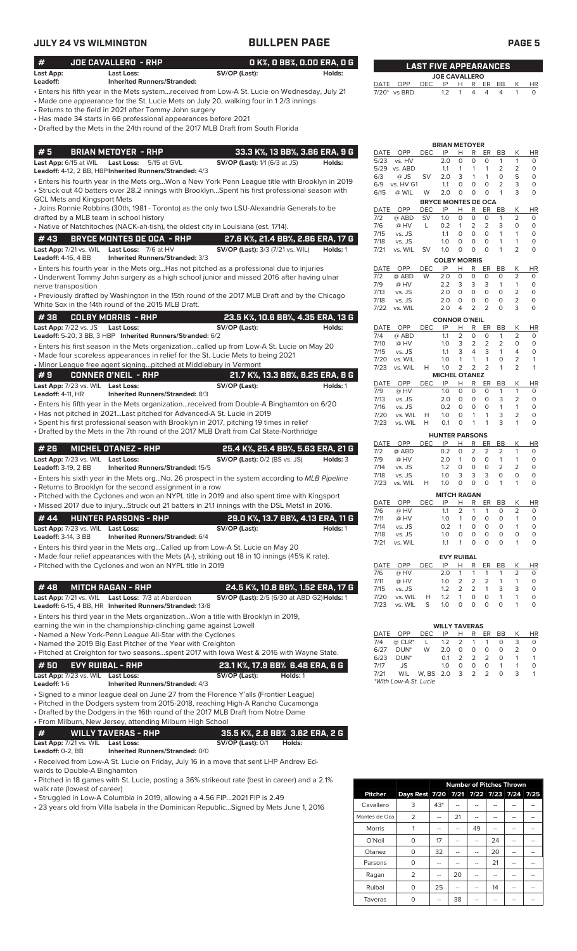# **JULY 24 VS WILMINGTON BULLPEN PAGE PAGE 5**

| <b>JULY 24 VS WILMINGTON</b>                             |                                                                                                                                                                                                                | <b>BULLPEN PAGE</b>                                                                                                                                                                    |          |              |                                 |                |                             |                          |                                                                  |                                |                                | <b>PAGE 5</b>              |
|----------------------------------------------------------|----------------------------------------------------------------------------------------------------------------------------------------------------------------------------------------------------------------|----------------------------------------------------------------------------------------------------------------------------------------------------------------------------------------|----------|--------------|---------------------------------|----------------|-----------------------------|--------------------------|------------------------------------------------------------------|--------------------------------|--------------------------------|----------------------------|
| #<br>Last App:                                           | JOE CAVALLERO - RHP<br><b>Last Loss:</b>                                                                                                                                                                       | O K%, O BB%, O.OO ERA, O G<br>SV/OP (Last):                                                                                                                                            | Holds:   |              |                                 |                |                             |                          | <b>LAST FIVE APPEARANCES</b>                                     |                                |                                |                            |
| Leadoff:                                                 | <b>Inherited Runners/Stranded:</b>                                                                                                                                                                             |                                                                                                                                                                                        |          |              | DATE OPP                        | <b>DEC</b>     | <b>JOE CAVALLERO</b><br>IP  | H.                       | R                                                                | ER BB                          | Κ                              | <b>HR</b>                  |
|                                                          | • Returns to the field in 2021 after Tommy John surgery<br>• Has made 34 starts in 66 professional appearances before 2021<br>• Drafted by the Mets in the 24th round of the 2017 MLB Draft from South Florida | · Enters his fifth year in the Mets systemreceived from Low-A St. Lucie on Wednesday, July 21<br>• Made one appearance for the St. Lucie Mets on July 20, walking four in 12/3 innings |          |              | 7/20* vs BRD                    |                | 1.2                         | 1                        | $\overline{4}$<br>4                                              | $\overline{4}$                 | 1                              | $\circ$                    |
| #5                                                       | <b>BRIAN METOYER - RHP</b>                                                                                                                                                                                     | 33.3 K%, 13 BB%, 3.86 ERA, 9 G                                                                                                                                                         |          |              | DATE OPP                        | <b>DEC</b>     | <b>BRIAN METOYER</b><br>IP  | н                        | R<br>ER                                                          | BB                             | Κ                              | <b>HR</b>                  |
| Last App: 6/15 at WIL                                    | <b>Last Loss:</b><br>5/15 at GVL                                                                                                                                                                               | <b>SV/OP (Last):</b> 1/1 (6/3 at JS)                                                                                                                                                   | Holds:   | 5/23<br>5/29 | vs. HV<br>vs. ABD               |                | 2.0<br>1.1                  | $\circ$<br>1             | $\circ$<br>$\mathbf 0$<br>$\mathbf{1}$<br>$\mathbf{1}$           | $\mathbf{1}$<br>2              | $\mathbf{1}$<br>2              | $\circ$<br>$\circ$         |
|                                                          | Leadoff: 4-12, 2 BB, HBP Inherited Runners/Stranded: 4/3                                                                                                                                                       | · Enters his fourth year in the Mets orgWon a New York Penn League title with Brooklyn in 2019                                                                                         |          | 6/3          | @ JS                            | <b>SV</b>      | 2.0                         | 3                        | $\overline{1}$<br>$\mathbf{1}$                                   | 0                              | 5                              | $\circ$                    |
|                                                          |                                                                                                                                                                                                                | • Struck out 40 batters over 28.2 innings with BrooklynSpent his first professional season with                                                                                        |          | 6/9<br>6/15  | vs. HV G1<br>@ WIL              | W              | 1.1<br>2.0                  | O<br>0                   | $\mathbf 0$<br>$\mathbf 0$<br>$\circ$<br>$\circ$                 | 2<br>$\mathbf{1}$              | 3<br>3                         | $\circ$<br>$\Omega$        |
| <b>GCL Mets and Kingsport Mets</b>                       |                                                                                                                                                                                                                |                                                                                                                                                                                        |          |              |                                 |                |                             |                          | <b>BRYCE MONTES DE OCA</b>                                       |                                |                                |                            |
|                                                          |                                                                                                                                                                                                                | • Joins Ronnie Robbins (30th, 1981 - Toronto) as the only two LSU-Alexandria Generals to be                                                                                            |          |              | DATE OPP                        | DEC            | ΙP                          | н                        | R<br>ER                                                          | BB                             | К                              | <b>HR</b>                  |
|                                                          | drafted by a MLB team in school history<br>• Native of Natchitoches (NACK-ah-tish), the oldest city in Louisiana (est. 1714).                                                                                  |                                                                                                                                                                                        |          | 7/2<br>7/6   | @ ABD<br>@ HV                   | <b>SV</b><br>L | 1.0<br>0.2                  | $\circ$<br>$\mathbf{1}$  | 0<br>0<br>$\overline{2}$<br>2                                    | $\mathbf{1}$<br>3              | 2<br>0                         | 0<br>$\circ$               |
| #43                                                      | <b>BRYCE MONTES DE OCA - RHP</b>                                                                                                                                                                               | 27.6 K%, 21.4 BB%, 2.86 ERA, 17 G                                                                                                                                                      |          | 7/15         | vs. JS                          |                | 1.1                         | $\circ$                  | $\circ$<br>$\circ$                                               | $\mathbf{1}$                   | 1                              | $\circ$                    |
| Last App: 7/21 vs. WIL                                   | Last Loss: 7/6 at HV                                                                                                                                                                                           | <b>SV/OP (Last):</b> 3/3 (7/21 vs. WIL)                                                                                                                                                | Holds: 1 | 7/18<br>7/21 | vs. JS<br>vs. WIL               | <b>SV</b>      | 1.0<br>1.0                  | 0<br>$\circ$             | $\circ$<br>0<br>$\circ$<br>$\circ$                               | $\mathbf{1}$<br>$\mathbf{1}$   | $\mathbf{1}$<br>$\overline{2}$ | 0<br>0                     |
| <b>Leadoff: 4-16, 4 BB</b>                               | Inherited Runners/Stranded: 3/3                                                                                                                                                                                |                                                                                                                                                                                        |          |              |                                 |                | <b>COLBY MORRIS</b>         |                          |                                                                  |                                |                                |                            |
|                                                          |                                                                                                                                                                                                                | • Enters his fourth year in the Mets orgHas not pitched as a professional due to injuries                                                                                              |          | DATE         | OPP                             | DEC            | IP                          | н                        | R<br>ER                                                          | BB                             | К                              | <b>HR</b>                  |
| nerve transposition                                      |                                                                                                                                                                                                                | • Underwent Tommy John surgery as a high school junior and missed 2016 after having ulnar                                                                                              |          | 7/2<br>7/9   | @ ABD<br>@ HV                   | W              | 2.0<br>2.2                  | 0<br>3                   | $\mathsf{O}\xspace$<br>0<br>3<br>3                               | 0<br>$\mathbf{1}$              | 2<br>$\mathbf{1}$              | 0<br>$\mathbf 0$           |
|                                                          |                                                                                                                                                                                                                | • Previously drafted by Washington in the 15th round of the 2017 MLB Draft and by the Chicago                                                                                          |          | 7/13         | vs. JS                          |                | 2.0                         | $\circ$                  | $\circ$<br>0                                                     | $\circ$                        | 2                              | $\circ$                    |
|                                                          | White Sox in the 14th round of the 2015 MLB Draft.                                                                                                                                                             |                                                                                                                                                                                        |          | 7/18<br>7/22 | vs. JS<br>vs. WIL               |                | 2.0<br>2.0                  | 0<br>$\overline{4}$      | $\circ$<br>$\circ$<br>$\overline{2}$<br>2                        | 0<br>$\circ$                   | 2<br>3                         | $\circ$<br>$\circ$         |
| #38                                                      | <b>COLBY MORRIS - RHP</b>                                                                                                                                                                                      | 23.5 K%, 10.6 BB%, 4.35 ERA, 13 G                                                                                                                                                      |          |              |                                 |                | <b>CONNOR O'NEIL</b>        |                          |                                                                  |                                |                                |                            |
| <b>Last App:</b> 7/22 vs. JS                             | <b>Last Loss:</b>                                                                                                                                                                                              | SV/OP (Last):                                                                                                                                                                          | Holds:   |              | DATE OPP                        | <b>DEC</b>     | IP                          | Н                        | R<br>ER                                                          | BB                             | Κ                              | HR                         |
|                                                          | Leadoff: 5-20, 3 BB, 3 HBP Inherited Runners/Stranded: 6/2                                                                                                                                                     |                                                                                                                                                                                        |          | 7/4          | @ ABD                           |                | 1.1                         | $\overline{2}$           | $\mathbf 0$<br>$\circ$<br>2<br>2                                 | $\mathbf{1}$<br>2              | $\overline{2}$                 | O<br>O                     |
|                                                          |                                                                                                                                                                                                                | • Enters his first season in the Mets organizationcalled up from Low-A St. Lucie on May 20                                                                                             |          | 7/10<br>7/15 | @ HV<br>vs. JS                  |                | 1.0<br>1.1                  | 3<br>3                   | 3<br>4                                                           | $\mathbf{1}$                   | 0<br>4                         | $\circ$                    |
|                                                          | • Made four scoreless appearances in relief for the St. Lucie Mets to being 2021<br>. Minor League free agent signingpitched at Middlebury in Vermont                                                          |                                                                                                                                                                                        |          | 7/20         | vs. WIL                         |                | 1.0                         | 1                        | $\mathbf{1}$<br>$\mathbf{1}$                                     | 0                              | 2                              | $\mathbf{1}$               |
| #9                                                       | <b>CONNER O'NEIL - RHP</b>                                                                                                                                                                                     | 21.7 K%, 13.3 BB%, 8.25 ERA, 8 G                                                                                                                                                       |          | 7/23         | vs. WIL                         | Н              | 1.0<br><b>MICHEL OTANEZ</b> | 2                        | 2<br>$\overline{2}$                                              | $\mathbf{1}$                   | $\overline{2}$                 | $\mathbf{1}$               |
| Last App: 7/23 vs. WIL Last Loss:                        |                                                                                                                                                                                                                | SV/OP (Last):                                                                                                                                                                          | Holds: 1 |              | DATE OPP                        | <b>DEC</b>     | IP                          | Н                        | R<br>ER                                                          | BB                             | Κ                              | HR                         |
| Leadoff: 4-11, HR                                        | Inherited Runners/Stranded: 8/3                                                                                                                                                                                |                                                                                                                                                                                        |          | 7/9<br>7/13  | @ HV<br>vs. JS                  |                | 1.0<br>2.0                  | 0<br>O                   | $\mathbf 0$<br>0<br>$\circ$<br>$\circ$                           | $\mathbf{1}$<br>3              | $\mathbf{1}$<br>$\overline{2}$ | 0<br>$\circ$               |
|                                                          |                                                                                                                                                                                                                | • Enters his fifth year in the Mets organizationreceived from Double-A Binghamton on 6/20                                                                                              |          | 7/16         | vs. JS                          |                | 0.2                         | O                        | $\circ$<br>$\circ$                                               | $\mathbf{1}$                   | $\mathbf{1}$                   | $\circ$                    |
|                                                          | • Has not pitched in 2021Last pitched for Advanced-A St. Lucie in 2019                                                                                                                                         | • Spent his first professional season with Brooklyn in 2017, pitching 19 times in relief                                                                                               |          | 7/20<br>7/23 | vs. WIL<br>vs. WIL              | H<br>H         | 1.0<br>0.1                  | O<br>$\circ$             | $\mathbf{1}$<br>$\mathbf{1}$<br>$\mathbf{1}$<br>$\mathbf{1}$     | 3<br>3                         | $\overline{2}$<br>$\mathbf{1}$ | $\circ$<br>$\circ$         |
|                                                          |                                                                                                                                                                                                                | • Drafted by the Mets in the 7th round of the 2017 MLB Draft from Cal State-Northridge                                                                                                 |          |              |                                 |                |                             |                          |                                                                  |                                |                                |                            |
|                                                          |                                                                                                                                                                                                                |                                                                                                                                                                                        |          | DATE         | OPP                             | <b>DEC</b>     | IP                          | Н                        | <b>HUNTER PARSONS</b><br>R<br>ER                                 | <b>BB</b>                      | К                              | <b>HR</b>                  |
| #26                                                      | <b>MICHEL OTANEZ - RHP</b>                                                                                                                                                                                     | 25.4 K%, 25.4 BB%, 5.63 ERA, 21 G                                                                                                                                                      |          | 7/2          | @ ABD                           |                | 0.2                         | $\circ$                  | 2<br>2                                                           | 2                              | 1                              | 0                          |
| Last App: 7/23 vs. WIL Last Loss:<br>Leadoff: 3-19, 2 BB | Inherited Runners/Stranded: 15/5                                                                                                                                                                               | <b>SV/OP (Last):</b> 0/2 (BS vs. JS)                                                                                                                                                   | Holds: 3 | 7/9<br>7/14  | @ HV<br>vs. JS                  |                | 2.0<br>1.2                  | 1<br>$\mathsf{O}\xspace$ | 0<br>0<br>0<br>0                                                 | $\mathbf{1}$<br>$\overline{2}$ | 1<br>2                         | $\mathbf 0$<br>$\mathbf 0$ |
|                                                          |                                                                                                                                                                                                                | • Enters his sixth year in the Mets org No. 26 prospect in the system according to MLB Pipeline                                                                                        |          | 7/18         | vs. JS                          |                | 1.0                         | 3                        | 3<br>3                                                           | 0                              | 0                              | $\circ$                    |
|                                                          | • Returns to Brooklyn for the second assignment in a row                                                                                                                                                       |                                                                                                                                                                                        |          | 7/23         | vs. WIL                         | Н              | 1.0                         | $\circ$                  | $\circ$<br>$\circ$                                               | $\mathbf{1}$                   | 1                              | $\circ$                    |
|                                                          |                                                                                                                                                                                                                | • Pitched with the Cyclones and won an NYPL title in 2019 and also spent time with Kingsport                                                                                           |          |              | DATE OPP                        | <b>DEC</b>     | <b>MITCH RAGAN</b><br>ΙP    | Н                        | R<br>ER                                                          | BB                             | <u>К</u>                       | HR                         |
|                                                          |                                                                                                                                                                                                                | . Missed 2017 due to injuryStruck out 21 batters in 21.1 innings with the DSL Mets1 in 2016.                                                                                           |          | 7/6          | @ HV                            |                | 1.1                         | 2                        | $\overline{1}$<br>1                                              | 0                              | 2                              | 0                          |
| #44                                                      | <b>HUNTER PARSONS - RHP</b>                                                                                                                                                                                    | 29.0 K%, 13.7 BB%, 4.13 ERA, 11 G                                                                                                                                                      |          | 7/11         | @ HV                            |                | 1.0                         | 1                        | 0<br>$\circ$                                                     | 0                              | 1                              | 0                          |
| Last App: 7/23 vs. WIL Last Loss:<br>Leadoff: 3-14, 3 BB | Inherited Runners/Stranded: 6/4                                                                                                                                                                                | SV/OP (Last):                                                                                                                                                                          | Holds: 1 | 7/14<br>7/18 | vs. JS<br>vs. JS                |                | 0.2<br>1.0                  | 1<br>0                   | $\mathbf 0$<br>$\circ$<br>$\mathbf 0$<br>0                       | 0<br>0                         | 1<br>0                         | 0<br>$\circ$               |
|                                                          | • Enters his third year in the Mets orgCalled up from Low-A St. Lucie on May 20                                                                                                                                |                                                                                                                                                                                        |          | 7/21         | vs. WIL                         |                | 1.1                         | 1                        | $\circ$<br>$\circ$                                               | $\circ$                        | 1                              | $\circ$                    |
|                                                          |                                                                                                                                                                                                                | • Made four relief appearances with the Mets (A-), striking out 18 in 10 innings (45% K rate).                                                                                         |          |              |                                 |                |                             | <b>EVY RUIBAL</b>        |                                                                  |                                |                                |                            |
|                                                          | • Pitched with the Cyclones and won an NYPL title in 2019                                                                                                                                                      |                                                                                                                                                                                        |          | DATE         | OPP                             | DEC            | IP                          | н                        | R<br>ER                                                          | BB                             | К                              | HR                         |
|                                                          |                                                                                                                                                                                                                |                                                                                                                                                                                        |          | 7/6<br>7/11  | @ HV<br>@ HV                    |                | 2.0<br>1.0                  | $\mathbf{1}$<br>2        | $\mathbf{1}$<br>$\mathbf{1}$<br>$\overline{2}$<br>$\overline{2}$ | $\mathbf{1}$<br>1              | 2<br>1                         | 0<br>0                     |
| #48                                                      | <b>MITCH RAGAN - RHP</b>                                                                                                                                                                                       | 24.5 K%, 10.8 BB%, 1.52 ERA, 17 G                                                                                                                                                      |          | 7/15         | vs. JS                          |                | 1.2                         | 2                        | $\overline{2}$<br>$\mathbf{1}$                                   | 3                              | 3                              | 0                          |
|                                                          | Last App: 7/21 vs. WIL Last Loss: 7/3 at Aberdeen<br>Leadoff: 6-15, 4 BB, HR Inherited Runners/Stranded: 13/8                                                                                                  | SV/OP (Last): 2/5 (6/30 at ABD G2) Holds: 1                                                                                                                                            |          | 7/20<br>7/23 | vs. WIL<br>vs. WIL              | H<br>S         | 1.2<br>1.0                  | 1<br>$\circ$             | 0<br>0<br>$\circ$<br>$\circ$                                     | $\mathbf{1}$<br>$\circ$        | 1<br>1                         | $\circ$<br>$\circ$         |
|                                                          | • Enters his third year in the Mets organizationWon a title with Brooklyn in 2019,                                                                                                                             |                                                                                                                                                                                        |          |              |                                 |                |                             |                          |                                                                  |                                |                                |                            |
|                                                          | earning the win in the championship-clinching game against Lowell                                                                                                                                              |                                                                                                                                                                                        |          |              |                                 |                | <b>WILLY TAVERAS</b>        |                          |                                                                  |                                |                                |                            |
|                                                          | • Named a New York-Penn League All-Star with the Cyclones                                                                                                                                                      |                                                                                                                                                                                        |          |              | DATE OPP                        | <b>DEC</b>     | IP                          | н                        | R<br>ER                                                          | BB                             | Κ                              | <b>HR</b>                  |
|                                                          | • Named the 2019 Big East Pitcher of the Year with Creighton                                                                                                                                                   |                                                                                                                                                                                        |          | 7/4<br>6/27  | $@$ $CLR^*$<br>DUN <sup>*</sup> | L<br>W         | 1.2<br>2.0                  | 2<br>0                   | $\overline{1}$<br>1<br>$\circ$<br>0                              | 0<br>0                         | 3<br>2                         | 0<br>0                     |
|                                                          |                                                                                                                                                                                                                | . Pitched at Creighton for two seasonsspent 2017 with lowa West & 2016 with Wayne State.                                                                                               |          | 6/23         | DUN <sup>*</sup>                |                | 0.1                         | 2                        | $\overline{2}$<br>2                                              | 0                              | $\mathbf{1}$                   | $\mathbf{1}$               |
| #50                                                      | <b>EVY RUIBAL - RHP</b>                                                                                                                                                                                        | 23.1 K%, 17.9 BB% 6.48 ERA, 6 G                                                                                                                                                        |          | 7/17         | JS                              |                | 1.0                         | 0                        | $\circ$<br>0                                                     | $\mathbf{1}$                   | $\mathbf{1}$                   | $\circ$                    |
| Last App: 7/23 vs. WIL Last Loss:<br>Leadoff: 1-6        | Inherited Runners/Stranded: 4/3                                                                                                                                                                                | SV/OP (Last):<br>Holds: 1                                                                                                                                                              |          | 7/21         | WIL<br>*With Low-A St. Lucie    | W, BS 2.0      |                             | 3                        | 2<br>$\overline{2}$                                              | $\circ$                        | 3                              | $\mathbf{1}$               |
|                                                          |                                                                                                                                                                                                                | • Signed to a minor league deal on June 27 from the Florence Y'alls (Frontier League)                                                                                                  |          |              |                                 |                |                             |                          |                                                                  |                                |                                |                            |
|                                                          |                                                                                                                                                                                                                | • Pitched in the Dodgers system from 2015-2018, reaching High-A Rancho Cucamonga<br>• Drafted by the Dodgers in the 16th round of the 2017 MLB Draft from Notre Dame                   |          |              |                                 |                |                             |                          |                                                                  |                                |                                |                            |

# • From Milburn, New Jersey, attending Milburn High School **# WILLY TAVERAS - RHP 35.5 K%, 2.8 BB% 3.62 ERA, 2 G Last App:** 7/21 vs. WIL **Last Loss: SV/OP (Last):** 0/1 **Holds:**

**Inherited Runners/Stranded:** 0/0

• Received from Low-A St. Lucie on Friday, July 16 in a move that sent LHP Andrew Edwards to Double-A Binghamton

• Pitched in 18 games with St. Lucie, posting a 36% strikeout rate (best in career) and a 2.1% walk rate (lowest of career)

• Struggled in Low-A Columbia in 2019, allowing a 4.56 FIP...2021 FIP is 2.49

• 23 years old from Villa Isabela in the Dominican Republic...Signed by Mets June 1, 2016

|                |                                         |     |    | <b>Number of Pitches Thrown</b> |    |  |
|----------------|-----------------------------------------|-----|----|---------------------------------|----|--|
| <b>Pitcher</b> | Days Rest 7/20 7/21 7/22 7/23 7/24 7/25 |     |    |                                 |    |  |
| Cavallero      | 3                                       | 43* |    |                                 |    |  |
| Montes de Oca  | 2                                       | --  | 21 |                                 |    |  |
| <b>Morris</b>  |                                         | --  |    | 49                              |    |  |
| O'Neil         | Ο                                       | 17  |    |                                 | 24 |  |
| Otanez         | 0                                       | 32  |    |                                 | 20 |  |
| Parsons        | O                                       | --  |    |                                 | 21 |  |
| Ragan          | 2                                       |     | 20 |                                 |    |  |
| Ruibal         | Ο                                       | 25  |    |                                 | 14 |  |
| Taveras        |                                         |     | 38 |                                 |    |  |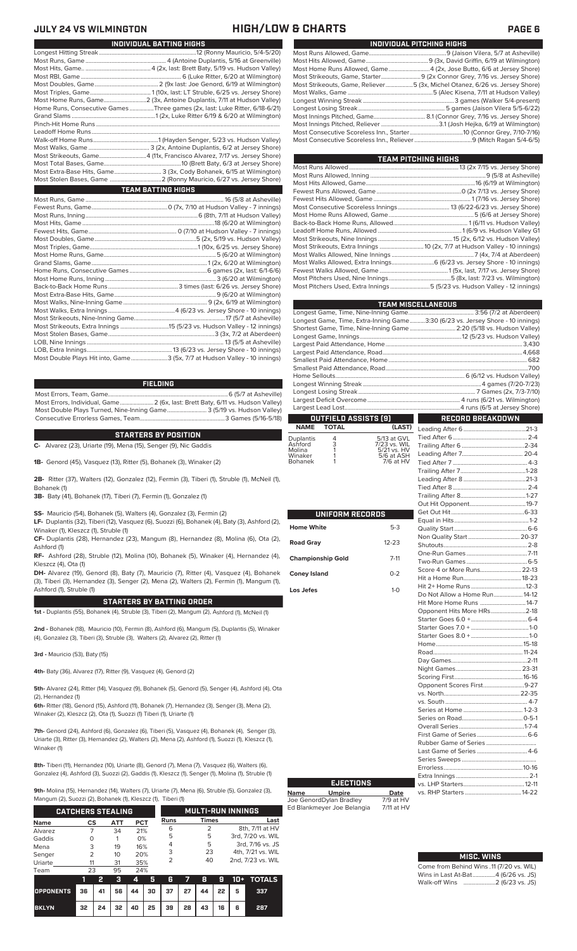## **JULY 24 VS WILMINGTON HIGH/LOW & CHARTS PAGE 6**

| INDIVIDUAL PITCHING HIGHS                                                   |
|-----------------------------------------------------------------------------|
|                                                                             |
|                                                                             |
| Most Home Runs Allowed, Game4 (2x, Jose Butto, 6/6 at Jersey Shore)         |
| Most Strikeouts, Game, Starter 9 (2x Connor Grey, 7/16 vs. Jersey Shore)    |
| Most Strikeouts, Game, Reliever5 (3x, Michel Otanez, 6/26 vs. Jersey Shore) |
|                                                                             |
|                                                                             |
|                                                                             |
|                                                                             |
|                                                                             |
|                                                                             |
|                                                                             |
|                                                                             |

| TEAM PITCHING HIGHS                                                        |  |
|----------------------------------------------------------------------------|--|
|                                                                            |  |
|                                                                            |  |
|                                                                            |  |
|                                                                            |  |
|                                                                            |  |
|                                                                            |  |
|                                                                            |  |
|                                                                            |  |
|                                                                            |  |
|                                                                            |  |
| Most Strikeouts, Extra Innings  10 (2x, 7/7 at Hudson Valley - 10 innings) |  |
|                                                                            |  |
| Most Walks Allowed, Extra Innings 6 (6/23 vs. Jersey Shore - 10 innings)   |  |
|                                                                            |  |
|                                                                            |  |
| Most Pitchers Used, Extra Innings 5 (5/23 vs. Hudson Valley - 12 innings)  |  |
|                                                                            |  |

|                      |                      |                             | <b>TEAM MISCELLANEOUS</b>                                                      |  |  |
|----------------------|----------------------|-----------------------------|--------------------------------------------------------------------------------|--|--|
|                      |                      |                             |                                                                                |  |  |
|                      |                      |                             | Longest Game, Time, Extra-Inning Game3:30 (6/23 vs. Jersey Shore - 10 innings) |  |  |
|                      |                      |                             | Shortest Game, Time, Nine-Inning Game  2:20 (5/18 vs. Hudson Valley)           |  |  |
|                      |                      |                             |                                                                                |  |  |
|                      |                      |                             |                                                                                |  |  |
|                      |                      |                             |                                                                                |  |  |
|                      |                      |                             |                                                                                |  |  |
|                      |                      |                             |                                                                                |  |  |
|                      |                      |                             |                                                                                |  |  |
|                      |                      |                             |                                                                                |  |  |
|                      |                      |                             |                                                                                |  |  |
|                      |                      |                             |                                                                                |  |  |
|                      |                      |                             |                                                                                |  |  |
|                      | OUTFIELD ASSISTS [9] |                             | <b>RECORD BREAKDOWN</b>                                                        |  |  |
| <b>NAME</b>          | <b>TOTAL</b>         | (LAST)                      |                                                                                |  |  |
|                      |                      |                             |                                                                                |  |  |
| Duplantis<br>Ashford | 4<br>3<br>1          | 5/13 at GVL<br>7/23 vs. WIL |                                                                                |  |  |
| Molina               |                      | 5/21 vs. HV                 |                                                                                |  |  |
| Winaker              |                      | 5/6 at ASH                  |                                                                                |  |  |
| Bohanek              |                      | 7/6 at HV                   |                                                                                |  |  |

Tied After 7 ................................................. 4-3 Trailing After 7...........................................1-28 Leading After 8 .........................................21-3 Tied After 8.................................................2-4 Trailing After 8...........................................1-27

Extra Innings ................................................2-1

Errorless.

| <b>UNIFORM RECORDS</b>   |           |                               |  |
|--------------------------|-----------|-------------------------------|--|
| <b>Home White</b>        | $5-3$     |                               |  |
|                          |           |                               |  |
| <b>Road Gray</b>         | $12 - 23$ |                               |  |
|                          |           |                               |  |
| <b>Championship Gold</b> | $7 - 11$  |                               |  |
| <b>Coney Island</b>      | $0 - 2$   | Score 4 or More Runs 22-13    |  |
|                          |           |                               |  |
| Los Jefes                | $1 - 0$   |                               |  |
|                          |           | Do Not Allow a Home Run 14-12 |  |
|                          |           | Hit More Home Runs 14-7       |  |
|                          |           | Opponent Hits More HRs2-18    |  |
|                          |           |                               |  |
|                          |           |                               |  |
|                          |           |                               |  |
|                          |           |                               |  |
|                          |           |                               |  |
|                          |           |                               |  |
|                          |           |                               |  |
|                          |           |                               |  |
|                          |           | Opponent Scores First9-27     |  |
|                          |           |                               |  |
|                          |           |                               |  |
|                          |           |                               |  |
|                          |           |                               |  |
|                          |           |                               |  |
|                          |           |                               |  |
|                          |           |                               |  |
|                          |           |                               |  |
|                          |           |                               |  |
|                          |           | Frrorless 10-16               |  |

### Most Home Runs, Game............................2 (3x, Antoine Duplantis, 7/11 at Hudson Valley) Home Runs, Consecutive Games ................Three games (2x, last: Luke Ritter, 6/18-6/21) Grand Slams .......................................................1 (2x, Luke Ritter 6/19 & 6/20 at Wilmington)

Walk-off Home Runs...........................................1 (Hayden Senger, 5/23 vs. Hudson Valley) Most Walks, Game ........................................ 3 (2x, Antoine Duplantis, 6/2 at Jersey Shore) Most Strikeouts, Game...............................4 (11x, Francisco Alvarez, 7/17 vs. Jersey Shore) Most Total Bases, Game...................................................10 (Brett Baty, 6/3 at Jersey Shore) Most Extra-Base Hits, Game............................... 3 (3x, Cody Bohanek, 6/15 at Wilmington) .2 (Ronny Mauricio, 6/27 vs. Jersey Shore)

# **TEAM BATTING HIGHS**

Longest Hitting Streak ................................................................12 (Ronny Mauricio, 5/4-5/20) Most Runs, Game ..................................................... 4 (Antoine Duplantis, 5/16 at Greenville) Most Hits, Game.. ...........................................4 (2x, last: Brett Baty, 5/19 vs. Hudson Valley) Most RBI, Game .................................................................. 6 (Luke Ritter, 6/20 at Wilmington) Most Doubles, Game..........................................2 (9x last: Joe Genord, 6/19 at Wilmington) Most Triples, Game........................................ 1 (10x, last: LT Struble, 6/25 vs. Jersey Shore)

| Most Double Plays Hit into, Game3 (5x, 7/7 at Hudson Valley - 10 innings) |
|---------------------------------------------------------------------------|
|                                                                           |

### **FIELDING**

Most Errors, Team, Game...............................................................................6 (5/7 at Asheville) Most Errors, Individual, Game......................2 (6x, last: Brett Baty, 6/11 vs. Hudson Valley) Most Double Plays Turned, Nine-Inning Game.......................... 3 (5/19 vs. Hudson Valley) Consecutive Errorless Games, Team.

### **STARTERS BY POSITION**

**C-** Alvarez (23), Uriarte (19), Mena (15), Senger (9), Nic Gaddis

**1B-** Genord (45), Vasquez (13), Ritter (5), Bohanek (3), Winaker (2)

**2B-** Ritter (37), Walters (12), Gonzalez (12), Fermin (3), Tiberi (1), Struble (1), McNeil (1), Bohanek (1)

**3B-** Baty (41), Bohanek (17), Tiberi (7), Fermin (1), Gonzalez (1)

**SS-** Mauricio (54), Bohanek (5), Walters (4), Gonzalez (3), Fermin (2)

**LF-** Duplantis (32), Tiberi (12), Vasquez (6), Suozzi (6), Bohanek (4), Baty (3), Ashford (2), Winaker (1), Kleszcz (1), Struble (1)

**CF-** Duplantis (28), Hernandez (23), Mangum (8), Hernandez (8), Molina (6), Ota (2), Ashford (1)

**RF-** Ashford (28), Struble (12), Molina (10), Bohanek (5), Winaker (4), Hernandez (4), Kleszcz (4), Ota (1)

DH- Alvarez (19), Genord (8), Baty (7), Mauricio (7), Ritte (3), Tiberi (3), Hernandez (3), Senger (2), Mena (2), Walter Ashford (1), Struble (1)

### **STARTERS BY BATTING OR**

**1st -** Duplantis (55), Bohanek (4), Struble (3), Tiberi (2), Mangu

2nd - Bohanek (18), Mauricio (10), Fermin (8), Ashford (6), Mar  $(4)$ , Gonzalez  $(3)$ , Tiberi  $(3)$ , Struble  $(3)$ , Walters  $(2)$ , Alvarez  $(2)$ ,

**3rd -** Mauricio (53), Baty (15)

**4th-** Baty (36), Alvarez (17), Ritter (9), Vasquez (4), Genord (2)

**5th-** Alvarez (24), Ritter (14), Vasquez (9), Bohanek (5), Genord (5), Senger (4), Ashford (4), Ota (2), Hernandez (1)

**6th-** Ritter (18), Genord (15), Ashford (11), Bohanek (7), Hernandez (3), Senger (3), Mena (2), Winaker (2), Kleszcz (2), Ota (1), Suozzi (1) Tiberi (1), Uriarte (1)

**7th-** Genord (24), Ashford (6), Gonzalez (6), Tiberi (5), Vasquez (4), Bohanek (4), Senger (3), Uriarte (3), Ritter (3), Hernandez (2), Walters (2), Mena (2), Ashford (1), Suozzi (1), Kleszcz (1), Winaker (1)

**8th-** Tiberi (11), Hernandez (10), Uriarte (8), Genord (7), Mena (7), Vasquez (6), Walters (6), Gonzalez (4), Ashford (3), Suozzi (2), Gaddis (1), Kleszcz (1), Senger (1), Molina (1), Struble (1)

**9th-** Molina (15), Hernandez (14), Walters (7), Uriarte (7), Mena (6), Struble (5), Gonzalez (3),

| Mangum (2), Suozzi (2), Bohanek (1), Kleszcz (1), Tiberi (1) |                |    |     |            |    |      |    |                          |    |     |                   |
|--------------------------------------------------------------|----------------|----|-----|------------|----|------|----|--------------------------|----|-----|-------------------|
| <b>CATCHERS STEALING</b>                                     |                |    |     |            |    |      |    | <b>MULTI-RUN INNINGS</b> |    |     |                   |
| <b>Name</b>                                                  | CS             |    | ATT | <b>PCT</b> |    | Runs |    | <b>Times</b>             |    |     | Last              |
| Alvarez                                                      |                |    | 34  | 21%        |    | 6    |    | 2                        |    |     | 8th, 7/11 at HV   |
| Gaddis                                                       | Ω              |    |     | 0%         |    | 5    |    | 5                        |    |     | 3rd, 7/20 vs. WIL |
| Mena                                                         | 3              |    | 19  | 16%        |    | 4    |    | 5                        |    |     | 3rd, 7/16 vs. JS  |
| Senger                                                       | $\overline{2}$ |    | 10  | 20%        |    | 3    |    | 23                       |    |     | 4th, 7/21 vs. WIL |
| Uriarte                                                      | 11             |    | 31  | 35%        |    | 2    |    | 40                       |    |     | 2nd, 7/23 vs. WIL |
| Team                                                         | 23             |    | 95  | 24%        |    |      |    |                          |    |     |                   |
|                                                              | 1              | 2  | з   | 4          | 5  | 6    |    | 8                        | 9  | 10+ | <b>TOTALS</b>     |
| <b>OPPONENTS</b>                                             | 36             | 41 | 56  | 44         | 30 | 37   | 27 | 44                       | 22 | 5   | 337               |

**BKLYN 32 24 32 40 25 39 28 43 16 6 287**

|  |  | <b>MISC. WINS</b> |  |  |
|--|--|-------------------|--|--|
|--|--|-------------------|--|--|

| Come from Behind Wins .11 (7/20 vs. WIL) |  |  |
|------------------------------------------|--|--|
| Wins in Last At-Bat4 (6/26 vs. JS)       |  |  |
|                                          |  |  |

# **Name Umpire Date** Joe GenordDylan Bradley 7/9 at HV

**EJECTIONS**

Ed Blankmeyer Joe Belangia 7/11 at HV vs. LHP Starters........................................12-11 vs. RHP Starters ...

| er (4), Vasquez (4), Bohanek<br>rs (2), Fermin (1), Mangum (1), | <b>Coney Islar</b> |
|-----------------------------------------------------------------|--------------------|
|                                                                 | Los Jefes          |
| DER                                                             |                    |
| n (2), Ashford (1), McNeil (1)                                  |                    |
| gum (5), Duplantis (5), Winaker<br>$P$ itter (1)                |                    |

# **INDIVIDUAL BATTING HIGHS**

Pinch-Hit Home Runs... Leadoff Home Runs....<br>Walk-off Home Runs...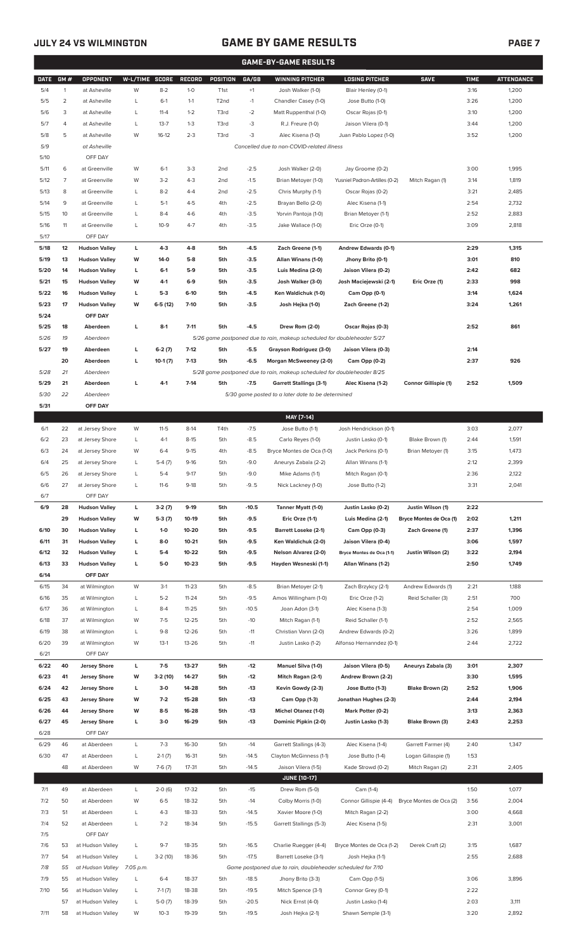# **JULY 24 VS WILMINGTON GAME BY GAME RESULTS**

|--|--|--|

|             |                |                      |                |           |               |                   |         | <b>GAME-BY-GAME RESULTS</b>                                             |                               |                         |             |                   |
|-------------|----------------|----------------------|----------------|-----------|---------------|-------------------|---------|-------------------------------------------------------------------------|-------------------------------|-------------------------|-------------|-------------------|
| <b>DATE</b> | GM#            | <b>OPPONENT</b>      | W-L/TIME SCORE |           | <b>RECORD</b> | POSITION          | GA/GB   | <b>WINNING PITCHER</b>                                                  | <b>LOSING PITCHER</b>         | <b>SAVE</b>             | <b>TIME</b> | <b>ATTENDANCE</b> |
| 5/4         | $\mathbf{1}$   | at Asheville         | W              | $8 - 2$   | $1-0$         | T <sub>1st</sub>  | $+1$    | Josh Walker (1-0)                                                       | Blair Henley (0-1)            |                         | 3:16        | 1,200             |
| 5/5         | $\overline{2}$ | at Asheville         | L              | $6-1$     | $1 - 1$       | T <sub>2</sub> nd | $-1$    | Chandler Casey (1-0)                                                    | Jose Butto (1-0)              |                         | 3:26        | 1,200             |
|             | 3              |                      |                | $11 - 4$  | $1 - 2$       |                   |         |                                                                         |                               |                         |             |                   |
| 5/6         |                | at Asheville         | L              |           |               | T3rd              | $-2$    | Matt Ruppenthal (1-0)                                                   | Oscar Rojas (0-1)             |                         | 3:10        | 1,200             |
| 5/7         | $\overline{4}$ | at Asheville         | Г              | $13 - 7$  | $1 - 3$       | T3rd              | -3      | R.J. Freure (1-0)                                                       | Jaison Vilera (0-1)           |                         | 3:44        | 1,200             |
| 5/8         | 5              | at Asheville         | W              | $16-12$   | $2 - 3$       | T3rd              | $-3$    | Alec Kisena (1-0)                                                       | Juan Pablo Lopez (1-0)        |                         | 3:52        | 1,200             |
| 5/9         |                | at Asheville         |                |           |               |                   |         | Cancelled due to non-COVID-related illness                              |                               |                         |             |                   |
| 5/10        |                | OFF DAY              |                |           |               |                   |         |                                                                         |                               |                         |             |                   |
| 5/11        | 6              | at Greenville        | W              | $6-1$     | $3-3$         | 2 <sub>nd</sub>   | $-2.5$  | Josh Walker (2-0)                                                       | Jay Groome (0-2)              |                         | 3:00        | 1,995             |
| 5/12        | $\overline{7}$ | at Greenville        | W              | $3-2$     | $4 - 3$       | 2 <sub>nd</sub>   | $-1.5$  | Brian Metoyer (1-0)                                                     | Yusniel Padron-Artilles (0-2) | Mitch Ragan (1)         | 3:14        | 1,819             |
| 5/13        | 8              | at Greenville        | L              | $8 - 2$   | $4 - 4$       | 2 <sub>nd</sub>   | $-2.5$  | Chris Murphy (1-1)                                                      | Oscar Rojas (0-2)             |                         | 3:21        | 2,485             |
| 5/14        | 9              | at Greenville        | Г              | $5-1$     | $4 - 5$       | 4th               | $-2.5$  | Brayan Bello (2-0)                                                      | Alec Kisena (1-1)             |                         | 2:54        | 2,732             |
|             |                |                      |                |           |               |                   |         |                                                                         |                               |                         |             |                   |
| 5/15        | 10             | at Greenville        | L              | $8 - 4$   | $4-6$         | 4th               | $-3.5$  | Yorvin Pantoja (1-0)                                                    | Brian Metoyer (1-1)           |                         | 2:52        | 2,883             |
| 5/16        | 11             | at Greenville        | L              | $10-9$    | $4 - 7$       | 4th               | $-3.5$  | Jake Wallace (1-0)                                                      | Eric Orze (0-1)               |                         | 3:09        | 2,818             |
| 5/17        |                | OFF DAY              |                |           |               |                   |         |                                                                         |                               |                         |             |                   |
| 5/18        | 12             | <b>Hudson Valley</b> | L              | $4-3$     | $4 - 8$       | 5th               | $-4.5$  | Zach Greene (1-1)                                                       | Andrew Edwards (0-1)          |                         | 2:29        | 1,315             |
| 5/19        | 13             | <b>Hudson Valley</b> | W              | 14-0      | $5-8$         | 5th               | $-3.5$  | Allan Winans (1-0)                                                      | Jhony Brito (0-1)             |                         | 3:01        | 810               |
| 5/20        | 14             | <b>Hudson Valley</b> | L              | $6-1$     | 5-9           | 5th               | $-3.5$  | Luis Medina (2-0)                                                       | Jaison Vilera (0-2)           |                         | 2:42        | 682               |
| 5/21        | 15             | <b>Hudson Valley</b> | W              | 4-1       | $6-9$         | 5th               | $-3.5$  | Josh Walker (3-0)                                                       | Josh Maciejewski (2-1)        | Eric Orze (1)           | 2:33        | 998               |
| 5/22        | 16             | <b>Hudson Valley</b> | г              | $5-3$     | $6-10$        | 5th               | $-4.5$  | Ken Waldichuk (1-0)                                                     | Cam Opp (0-1)                 |                         | 3:14        | 1,624             |
| 5/23        | 17             | <b>Hudson Valley</b> | W              | $6-5(12)$ | $7 - 10$      | 5th               | $-3.5$  | Josh Hejka (1-0)                                                        | Zach Greene (1-2)             |                         | 3:24        | 1,261             |
|             |                |                      |                |           |               |                   |         |                                                                         |                               |                         |             |                   |
| 5/24        |                | OFF DAY              |                |           |               |                   |         |                                                                         |                               |                         |             |                   |
| 5/25        | 18             | Aberdeen             | L              | $8-1$     | $7 - 11$      | 5th               | $-4.5$  | Drew Rom (2-0)                                                          | Oscar Rojas (0-3)             |                         | 2:52        | 861               |
| 5/26        | 19             | Aberdeen             |                |           |               |                   |         | 5/26 game postponed due to rain, makeup scheduled for doubleheader 5/27 |                               |                         |             |                   |
| 5/27        | 19             | Aberdeen             | г              | $6-2(7)$  | $7-12$        | 5th               | $-5.5$  | Grayson Rodriguez (3-0)                                                 | Jaison Vilera (0-3)           |                         | 2:14        |                   |
|             | 20             | Aberdeen             | г              | $10-1(7)$ | $7-13$        | 5th               | $-6.5$  | Morgan McSweeney (2-0)                                                  | Cam Opp (0-2)                 |                         | 2:37        | 926               |
| 5/28        | 21             | Aberdeen             |                |           |               |                   |         | 5/28 game postponed due to rain, makeup scheduled for doubleheader 8/25 |                               |                         |             |                   |
| 5/29        | 21             | Aberdeen             | L              | $4 - 1$   | $7-14$        | 5th               | $-7.5$  | <b>Garrett Stallings (3-1)</b>                                          | Alec Kisena (1-2)             | Connor Gillispie (1)    | 2:52        | 1,509             |
| 5/30        | 22             | Aberdeen             |                |           |               |                   |         | 5/30 game posted to a later date to be determined                       |                               |                         |             |                   |
| 5/31        |                | OFF DAY              |                |           |               |                   |         |                                                                         |                               |                         |             |                   |
|             |                |                      |                |           |               |                   |         |                                                                         |                               |                         |             |                   |
|             |                |                      |                |           |               |                   |         | MAY [7-14]                                                              |                               |                         |             |                   |
| 6/1         | 22             | at Jersey Shore      | W              | $11 - 5$  | $8-14$        | T4th              | $-7.5$  | Jose Butto (1-1)                                                        | Josh Hendrickson (0-1)        |                         | 3:03        | 2,077             |
| 6/2         | 23             | at Jersey Shore      | L              | $4-1$     | $8 - 15$      | 5th               | $-8.5$  | Carlo Reyes (1-0)                                                       | Justin Lasko (0-1)            | Blake Brown (1)         | 2:44        | 1,591             |
| 6/3         | 24             | at Jersey Shore      | W              | $6-4$     | $9 - 15$      | 4th               | $-8.5$  | Bryce Montes de Oca (1-0)                                               | Jack Perkins (0-1)            | Brian Metoyer (1)       | 3:15        | 1,473             |
| 6/4         | 25             | at Jersey Shore      | Г              | $5-4(7)$  | $9-16$        | 5th               | $-9.0$  | Aneurys Zabala (2-2)                                                    | Allan Winans (1-1)            |                         | 2:12        | 2,399             |
| 6/5         | 26             | at Jersey Shore      | Г              | $5 - 4$   | $9 - 17$      | 5th               | $-9.0$  | Mike Adams (1-1)                                                        | Mitch Ragan (0-1)             |                         | 2:36        | 2,122             |
| 6/6         | 27             | at Jersey Shore      | L              | $11-6$    | $9-18$        | 5th               | $-9.5$  | Nick Lackney (1-0)                                                      | Jose Butto (1-2)              |                         | 3:31        | 2,041             |
| 6/7         |                | OFF DAY              |                |           |               |                   |         |                                                                         |                               |                         |             |                   |
|             |                |                      |                |           |               |                   |         |                                                                         |                               |                         |             |                   |
| 6/9         | 28             | <b>Hudson Valley</b> | L              | $3-2(7)$  | $9-19$        | 5th               | $-10.5$ | Tanner Myatt (1-0)                                                      | Justin Lasko (0-2)            | Justin Wilson (1)       | 2:22        |                   |
|             | 29             | <b>Hudson Valley</b> | W              | $5-3(7)$  | 10-19         | 5th               | -9.5    | Eric Orze (1-1)                                                         | Luis Medina (2-1)             | Bryce Montes de Oca (1) | 2:02        | 1,211             |
| 6/10        | 30             | <b>Hudson Valley</b> | г              | $1 - 0$   | 10-20         | 5th               | -9.5    | <b>Barrett Loseke (2-1)</b>                                             | Cam Opp (0-3)                 | Zach Greene (1)         | 2:37        | 1,396             |
| 6/11        | 31             | <b>Hudson Valley</b> | г              | 8-0       | $10 - 21$     | 5th               | $-9.5$  | Ken Waldichuk (2-0)                                                     | Jaison Vilera (0-4)           |                         | 3:06        | 1,597             |
| 6/12        | 32             | <b>Hudson Valley</b> | г              | $5-4$     | 10-22         | 5th               | $-9.5$  | <b>Nelson Alvarez (2-0)</b>                                             | Bryce Montes de Oca (1-1)     | Justin Wilson (2)       | 3:22        | 2,194             |
| 6/13        | 33             | <b>Hudson Valley</b> | г              | 5-0       | 10-23         | 5th               | $-9.5$  | Hayden Wesneski (1-1)                                                   | Allan Winans (1-2)            |                         | 2:50        | 1,749             |
| 6/14        |                | OFF DAY              |                |           |               |                   |         |                                                                         |                               |                         |             |                   |
| 6/15        | 34             | at Wilmington        | W              | $3-1$     | $11 - 23$     | 5th               | $-8.5$  | Brian Metoyer (2-1)                                                     | Zach Brzykcy (2-1)            | Andrew Edwards (1)      | 2:21        | 1,188             |
| 6/16        | 35             | at Wilmington        | L              | $5 - 2$   | $11 - 24$     | 5th               | $-9.5$  | Amos Willingham (1-0)                                                   | Eric Orze (1-2)               | Reid Schaller (3)       | 2:51        | 700               |
|             |                |                      |                |           |               |                   |         |                                                                         |                               |                         |             |                   |
| 6/17        | 36             | at Wilmington        | L              | $8 - 4$   | $11 - 25$     | 5th               | $-10.5$ | Joan Adon (3-1)                                                         | Alec Kisena (1-3)             |                         | 2:54        | 1,009             |
| 6/18        | 37             | at Wilmington        | W              | $7-5$     | $12 - 25$     | 5th               | $-10$   | Mitch Ragan (1-1)                                                       | Reid Schaller (1-1)           |                         | 2:52        | 2,565             |
| 6/19        | 38             | at Wilmington        | L              | $9 - 8$   | 12-26         | 5th               | $-11$   | Christian Vann (2-0)                                                    | Andrew Edwards (0-2)          |                         | 3:26        | 1,899             |
| 6/20        | 39             | at Wilmington        | W              | $13-1$    | $13 - 26$     | 5th               | $-11$   | Justin Lasko (1-2)                                                      | Alfonso Hernanndez (0-1)      |                         | 2:44        | 2,722             |
| 6/21        |                | OFF DAY              |                |           |               |                   |         |                                                                         |                               |                         |             |                   |
| 6/22        | 40             | <b>Jersey Shore</b>  | L              | $7-5$     | 13-27         | 5th               | $-12$   | Manuel Silva (1-0)                                                      | Jaison Vilera (0-5)           | Aneurys Zabala (3)      | 3:01        | 2,307             |
| 6/23        | 41             | <b>Jersey Shore</b>  | W              | $3-2(10)$ | 14-27         | 5th               | $-12$   | Mitch Ragan (2-1)                                                       | Andrew Brown (2-2)            |                         | 3:30        | 1,595             |
| 6/24        | 42             | <b>Jersey Shore</b>  | L              | $3-0$     | 14-28         | 5th               | $-13$   | Kevin Gowdy (2-3)                                                       | Jose Butto (1-3)              | Blake Brown (2)         | 2:52        | 1,906             |
|             | 43             |                      | W              | $7-2$     | 15-28         | 5th               |         |                                                                         |                               |                         | 2:44        |                   |
| 6/25        |                | <b>Jersey Shore</b>  |                |           |               |                   | $-13$   | Cam Opp (1-3)                                                           | Jonathan Hughes (2-3)         |                         |             | 2,194             |
| 6/26        | 44             | <b>Jersey Shore</b>  | W              | $8 - 5$   | 16-28         | 5th               | $-13$   | Michel Otanez (1-0)                                                     | Mark Potter (0-2)             |                         | 3:13        | 2,363             |
| 6/27        | 45             | <b>Jersey Shore</b>  | г              | $3-0$     | 16-29         | 5th               | $-13$   | Dominic Pipkin (2-0)                                                    | Justin Lasko (1-3)            | Blake Brown (3)         | 2:43        | 2,253             |
| 6/28        |                | OFF DAY              |                |           |               |                   |         |                                                                         |                               |                         |             |                   |
| 6/29        | 46             | at Aberdeen          | L              | $7-3$     | 16-30         | 5th               | $-14$   | Garrett Stallings (4-3)                                                 | Alec Kisena (1-4)             | Garrett Farmer (4)      | 2:40        | 1,347             |
| 6/30        | 47             | at Aberdeen          | L              | $2-1(7)$  | 16-31         | 5th               | $-14.5$ | Clayton McGinness (1-1)                                                 | Jose Butto (1-4)              | Logan Gillaspie (1)     | 1:53        |                   |
|             | 48             | at Aberdeen          | W              | $7-6(7)$  | 17-31         | 5th               | $-14.5$ | Jaison Vilera (1-5)                                                     | Kade Strowd (0-2)             | Mitch Ragan (2)         | 2:31        | 2,405             |
|             |                |                      |                |           |               |                   |         | <b>JUNE [10-17]</b>                                                     |                               |                         |             |                   |
|             |                |                      |                |           |               |                   |         |                                                                         |                               |                         |             |                   |
| 7/1         | 49             | at Aberdeen          | L              | $2-0(6)$  | 17-32         | 5th               | $-15$   | Drew Rom (5-0)                                                          | Cam (1-4)                     |                         | 1:50        | 1,077             |
| 7/2         | 50             | at Aberdeen          | W              | $6 - 5$   | 18-32         | 5th               | $-14$   | Colby Morris (1-0)                                                      | Connor Gillispie (4-4)        | Bryce Montes de Oca (2) | 3:56        | 2,004             |
| 7/3         | 51             | at Aberdeen          | L              | $4 - 3$   | 18-33         | 5th               | $-14.5$ | Xavier Moore (1-0)                                                      | Mitch Ragan (2-2)             |                         | 3:00        | 4,668             |
| 7/4         | 52             | at Aberdeen          | L              | $7 - 2$   | 18-34         | 5th               | $-15.5$ | Garrett Stallings (5-3)                                                 | Alec Kisena (1-5)             |                         | 2:31        | 3,001             |
| 7/5         |                | OFF DAY              |                |           |               |                   |         |                                                                         |                               |                         |             |                   |
| 7/6         | 53             | at Hudson Valley     | L              | $9 - 7$   | 18-35         | 5th               | $-16.5$ | Charlie Ruegger (4-4)                                                   | Bryce Montes de Oca (1-2)     | Derek Craft (2)         | 3:15        | 1,687             |
| 7/7         | 54             | at Hudson Valley     | L              | $3-2(10)$ | 18-36         | 5th               | $-17.5$ | Barrett Loseke (3-1)                                                    | Josh Hejka (1-1)              |                         | 2:55        | 2,688             |
| 7/8         | 55             | at Hudson Valley     | 7:05 p.m.      |           |               |                   |         | Game postponed due to rain, doubleheader scheduled for 7/10             |                               |                         |             |                   |
| 7/9         | 55             | at Hudson Valley     | L              | $6 - 4$   | 18-37         | 5th               | $-18.5$ | Jhony Brito (3-3)                                                       | Cam Opp (1-5)                 |                         | 3:06        | 3,896             |
|             |                |                      |                |           |               |                   |         |                                                                         |                               |                         |             |                   |
| 7/10        | 56             | at Hudson Valley     | L              | $7-1(7)$  | 18-38         | 5th               | $-19.5$ | Mitch Spence (3-1)                                                      | Connor Grey (0-1)             |                         | 2:22        |                   |
|             | 57             | at Hudson Valley     | L              | $5-0(7)$  | 18-39         | 5th               | $-20.5$ | Nick Ernst (4-0)                                                        | Justin Lasko (1-4)            |                         | 2:03        | 3,111             |
| 7/11        |                | 58 at Hudson Valley  | W              | $10-3$    | 19-39         | 5th               | $-19.5$ | Josh Hejka (2-1)                                                        | Shawn Semple (3-1)            |                         | 3:20        | 2,892             |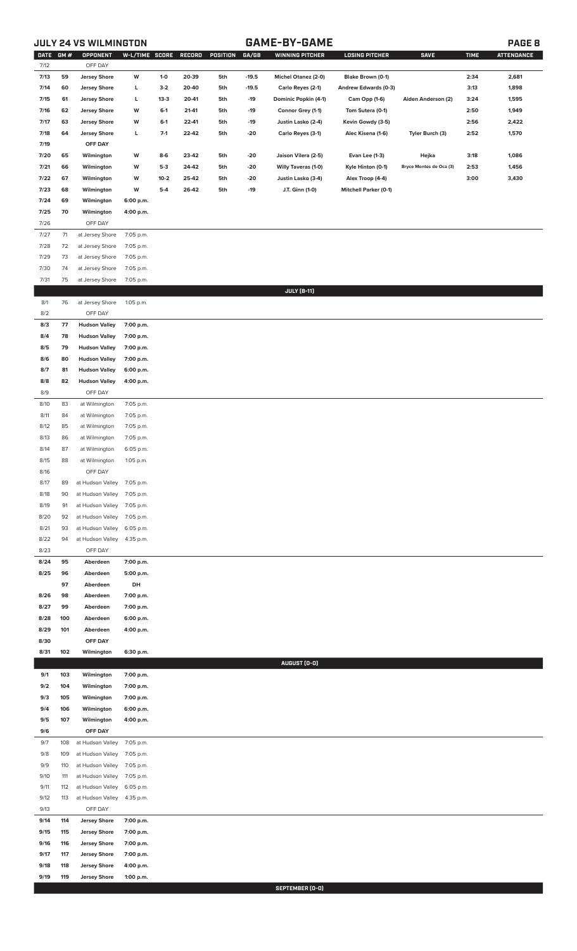# **JULY 24 VS WILMINGTON GAME-BY-GAME PAGE 8**

| DATE GM #    |            | <b>OPPONENT</b>                      | W-L/TIME SCORE         |        | RECORD | POSITION | GA/GB   | <b>WINNING PITCHER</b> | <b>LOSING PITCHER</b>        | <b>SAVE</b>             | <b>TIME</b> | <b>ATTENDANCE</b> |
|--------------|------------|--------------------------------------|------------------------|--------|--------|----------|---------|------------------------|------------------------------|-------------------------|-------------|-------------------|
| 7/12<br>7/13 | 59         | OFF DAY<br><b>Jersey Shore</b>       | W                      | $1-0$  | 20-39  | 5th      | $-19.5$ | Michel Otanez (2-0)    | Blake Brown (0-1)            |                         | 2:34        | 2,681             |
| 7/14         | 60         | <b>Jersey Shore</b>                  | L                      | $3-2$  | 20-40  | 5th      | $-19.5$ | Carlo Reyes (2-1)      | Andrew Edwards (0-3)         |                         | 3:13        | 1,898             |
| 7/15         | 61         | <b>Jersey Shore</b>                  | L                      | $13-3$ | 20-41  | 5th      | $-19$   | Dominic Popkin (4-1)   | Cam Opp (1-6)                | Aiden Anderson (2)      | 3:24        | 1,595             |
| 7/16         | 62         | <b>Jersey Shore</b>                  | W                      | $6-1$  | 21-41  | 5th      | $-19$   | Connor Grey (1-1)      | Tom Sutera (0-1)             |                         | 2:50        | 1,949             |
| 7/17         | 63         | <b>Jersey Shore</b>                  | W                      | $6-1$  | 22-41  | 5th      | $-19$   | Justin Lasko (2-4)     | Kevin Gowdy (3-5)            |                         | 2:56        | 2,422             |
| 7/18         | 64         | <b>Jersey Shore</b>                  | L                      | $7-1$  | 22-42  | 5th      | -20     | Carlo Reyes (3-1)      | Alec Kisena (1-6)            | Tyler Burch (3)         | 2:52        | 1,570             |
| 7/19         |            | OFF DAY                              |                        |        |        |          |         |                        |                              |                         |             |                   |
| 7/20         | 65         | Wilmington                           | W                      | $8-6$  | 23-42  | 5th      | -20     | Jaison Vilera (2-5)    | Evan Lee (1-3)               | Hejka                   | 3:18        | 1,086             |
| 7/21         | 66         | Wilmington                           | W                      | $5-3$  | 24-42  | 5th      | -20     | Willy Taveras (1-0)    | Kyle Hinton (0-1)            | Bryce Montes de Oca (3) | 2:53        | 1,456             |
| 7/22         | 67         | Wilmington                           | W                      | $10-2$ | 25-42  | 5th      | -20     | Justin Lasko (3-4)     | Alex Troop (4-4)             |                         | 3:00        | 3,430             |
| 7/23         | 68         | Wilmington                           | W                      | $5-4$  | 26-42  | 5th      | $-19$   | J.T. Ginn (1-0)        | <b>Mitchell Parker (0-1)</b> |                         |             |                   |
| 7/24         | 69         | Wilmington                           | 6:00 p.m.              |        |        |          |         |                        |                              |                         |             |                   |
| 7/25         | 70         | Wilmington                           | 4:00 p.m.              |        |        |          |         |                        |                              |                         |             |                   |
| 7/26         |            | OFF DAY                              |                        |        |        |          |         |                        |                              |                         |             |                   |
| 7/27         | 71         | at Jersey Shore                      | 7:05 p.m.              |        |        |          |         |                        |                              |                         |             |                   |
| 7/28         | 72         | at Jersey Shore                      | 7:05 p.m.              |        |        |          |         |                        |                              |                         |             |                   |
| 7/29         | 73         | at Jersey Shore                      | 7:05 p.m.              |        |        |          |         |                        |                              |                         |             |                   |
| 7/30<br>7/31 | 74<br>75   | at Jersey Shore<br>at Jersey Shore   | 7:05 p.m.<br>7:05 p.m. |        |        |          |         |                        |                              |                         |             |                   |
|              |            |                                      |                        |        |        |          |         | <b>JULY [8-11]</b>     |                              |                         |             |                   |
| 8/1          | 76         | at Jersey Shore                      | 1:05 p.m.              |        |        |          |         |                        |                              |                         |             |                   |
| 8/2          |            | OFF DAY                              |                        |        |        |          |         |                        |                              |                         |             |                   |
| 8/3          | 77         | <b>Hudson Valley</b>                 | 7:00 p.m.              |        |        |          |         |                        |                              |                         |             |                   |
| 8/4          | 78         | <b>Hudson Valley</b>                 | 7:00 p.m.              |        |        |          |         |                        |                              |                         |             |                   |
| 8/5          | 79         | <b>Hudson Valley</b>                 | 7:00 p.m.              |        |        |          |         |                        |                              |                         |             |                   |
| 8/6          | 80         | <b>Hudson Valley</b>                 | 7:00 p.m.              |        |        |          |         |                        |                              |                         |             |                   |
| 8/7          | 81         | <b>Hudson Valley</b>                 | 6:00 p.m.              |        |        |          |         |                        |                              |                         |             |                   |
| 8/8<br>8/9   | 82         | <b>Hudson Valley</b><br>OFF DAY      | 4:00 p.m.              |        |        |          |         |                        |                              |                         |             |                   |
| 8/10         | 83         | at Wilmington                        | 7:05 p.m.              |        |        |          |         |                        |                              |                         |             |                   |
| 8/11         | 84         | at Wilmington                        | 7:05 p.m.              |        |        |          |         |                        |                              |                         |             |                   |
| 8/12         | 85         | at Wilmington                        | 7:05 p.m.              |        |        |          |         |                        |                              |                         |             |                   |
| 8/13         | 86         | at Wilmington                        | 7:05 p.m.              |        |        |          |         |                        |                              |                         |             |                   |
| 8/14         | 87         | at Wilmington                        | 6:05 p.m.              |        |        |          |         |                        |                              |                         |             |                   |
| 8/15         | 88         | at Wilmington                        | 1:05 p.m.              |        |        |          |         |                        |                              |                         |             |                   |
| 8/16         |            | OFF DAY                              |                        |        |        |          |         |                        |                              |                         |             |                   |
| 8/17         | 89         | at Hudson Valley 7:05 p.m.           |                        |        |        |          |         |                        |                              |                         |             |                   |
| 8/18<br>8/19 | 90<br>91   | at Hudson Valley<br>at Hudson Valley | 7:05 p.m.<br>7:05 p.m. |        |        |          |         |                        |                              |                         |             |                   |
| 8/20         | 92         | at Hudson Valley                     | 7:05 p.m.              |        |        |          |         |                        |                              |                         |             |                   |
| 8/21         | 93         | at Hudson Valley                     | 6:05 p.m.              |        |        |          |         |                        |                              |                         |             |                   |
| 8/22         | 94         | at Hudson Valley                     | 4:35 p.m.              |        |        |          |         |                        |                              |                         |             |                   |
| 8/23         |            | OFF DAY                              |                        |        |        |          |         |                        |                              |                         |             |                   |
| 8/24         | 95         | Aberdeen                             | 7:00 p.m.              |        |        |          |         |                        |                              |                         |             |                   |
| 8/25         | 96         | Aberdeen                             | 5:00 p.m.              |        |        |          |         |                        |                              |                         |             |                   |
|              | 97         | Aberdeen                             | DH                     |        |        |          |         |                        |                              |                         |             |                   |
| 8/26<br>8/27 | 98<br>99   | Aberdeen<br>Aberdeen                 | 7:00 p.m.<br>7:00 p.m. |        |        |          |         |                        |                              |                         |             |                   |
| 8/28         | 100        | Aberdeen                             | 6:00 p.m.              |        |        |          |         |                        |                              |                         |             |                   |
| 8/29         | 101        | Aberdeen                             | 4:00 p.m.              |        |        |          |         |                        |                              |                         |             |                   |
| 8/30         |            | OFF DAY                              |                        |        |        |          |         |                        |                              |                         |             |                   |
| 8/31         | 102        | Wilmington                           | 6:30 p.m.              |        |        |          |         |                        |                              |                         |             |                   |
|              |            |                                      |                        |        |        |          |         | AUGUST (0-0)           |                              |                         |             |                   |
| 9/1          | 103        | Wilmington                           | 7:00 p.m.              |        |        |          |         |                        |                              |                         |             |                   |
| 9/2          | 104        | Wilmington                           | 7:00 p.m.              |        |        |          |         |                        |                              |                         |             |                   |
| 9/3<br>9/4   | 105<br>106 | Wilmington<br>Wilmington             | 7:00 p.m.<br>6:00 p.m. |        |        |          |         |                        |                              |                         |             |                   |
| 9/5          | 107        | Wilmington                           | 4:00 p.m.              |        |        |          |         |                        |                              |                         |             |                   |
| 9/6          |            | OFF DAY                              |                        |        |        |          |         |                        |                              |                         |             |                   |
| 9/7          | 108        | at Hudson Valley                     | 7:05 p.m.              |        |        |          |         |                        |                              |                         |             |                   |
| 9/8          | 109        | at Hudson Valley                     | 7:05 p.m.              |        |        |          |         |                        |                              |                         |             |                   |
| 9/9          | 110        | at Hudson Valley                     | 7:05 p.m.              |        |        |          |         |                        |                              |                         |             |                   |
| 9/10         | 111        | at Hudson Valley                     | 7:05 p.m.              |        |        |          |         |                        |                              |                         |             |                   |
| 9/11<br>9/12 | 112        | at Hudson Valley<br>at Hudson Valley | 6:05 p.m.              |        |        |          |         |                        |                              |                         |             |                   |
| 9/13         | 113        | OFF DAY                              | 4:35 p.m.              |        |        |          |         |                        |                              |                         |             |                   |
| 9/14         | 114        | <b>Jersey Shore</b>                  | 7:00 p.m.              |        |        |          |         |                        |                              |                         |             |                   |
| 9/15         | 115        | <b>Jersey Shore</b>                  | 7:00 p.m.              |        |        |          |         |                        |                              |                         |             |                   |
| 9/16         | 116        | <b>Jersey Shore</b>                  | 7:00 p.m.              |        |        |          |         |                        |                              |                         |             |                   |
| 9/17         | 117        | <b>Jersey Shore</b>                  | 7:00 p.m.              |        |        |          |         |                        |                              |                         |             |                   |
| 9/18         | 118        | <b>Jersey Shore</b>                  | 4:00 p.m.              |        |        |          |         |                        |                              |                         |             |                   |
| 9/19         | 119        | <b>Jersey Shore</b>                  | 1:00 p.m.              |        |        |          |         |                        |                              |                         |             |                   |

**SEPTEMBER (0-0)**